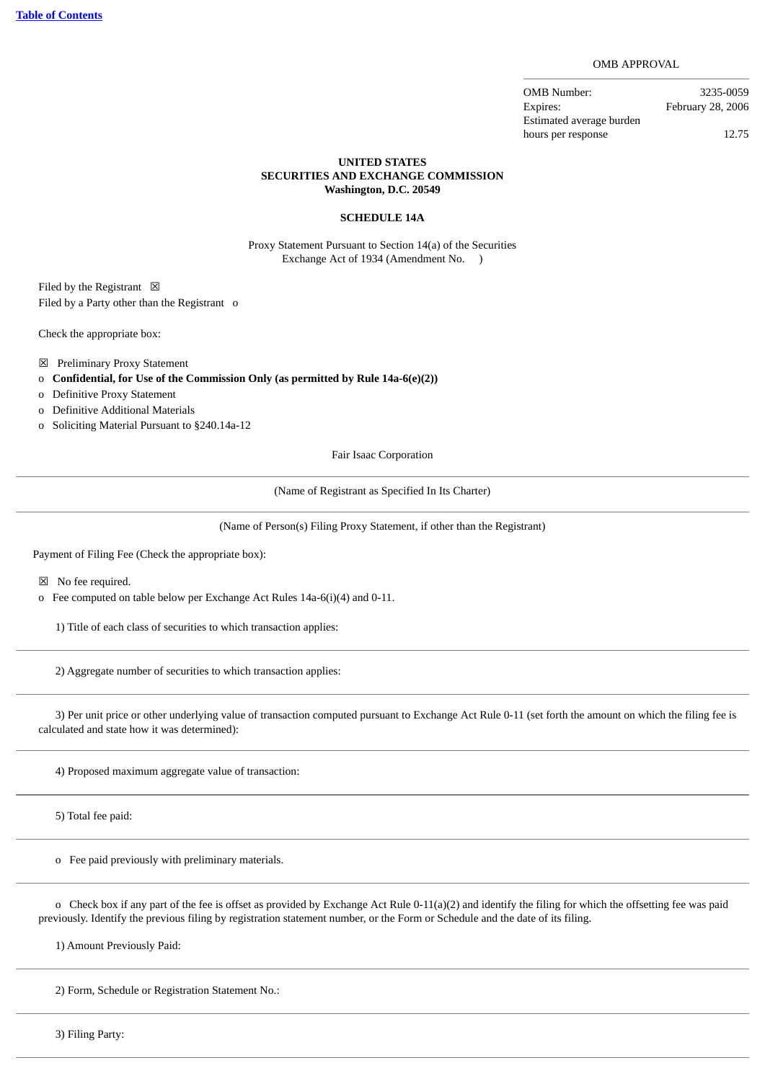OMB APPROVAL

OMB Number: 3235-0059 Expires: February 28, 2006 Estimated average burden hours per response 12.75

## **UNITED STATES SECURITIES AND EXCHANGE COMMISSION Washington, D.C. 20549**

## **SCHEDULE 14A**

Proxy Statement Pursuant to Section 14(a) of the Securities Exchange Act of 1934 (Amendment No. )

Filed by the Registrant  $\boxtimes$ Filed by a Party other than the Registrant o

Check the appropriate box:

- ☒ Preliminary Proxy Statement
- o **Confidential, for Use of the Commission Only (as permitted by Rule 14a-6(e)(2))**
- o Definitive Proxy Statement
- o Definitive Additional Materials
- o Soliciting Material Pursuant to §240.14a-12

Fair Isaac Corporation

(Name of Registrant as Specified In Its Charter)

(Name of Person(s) Filing Proxy Statement, if other than the Registrant)

Payment of Filing Fee (Check the appropriate box):

☒ No fee required.

o Fee computed on table below per Exchange Act Rules 14a-6(i)(4) and 0-11.

1) Title of each class of securities to which transaction applies:

2) Aggregate number of securities to which transaction applies:

 3) Per unit price or other underlying value of transaction computed pursuant to Exchange Act Rule 0-11 (set forth the amount on which the filing fee is calculated and state how it was determined):

4) Proposed maximum aggregate value of transaction:

5) Total fee paid:

o Fee paid previously with preliminary materials.

 o Check box if any part of the fee is offset as provided by Exchange Act Rule 0-11(a)(2) and identify the filing for which the offsetting fee was paid previously. Identify the previous filing by registration statement number, or the Form or Schedule and the date of its filing.

1) Amount Previously Paid:

2) Form, Schedule or Registration Statement No.:

3) Filing Party: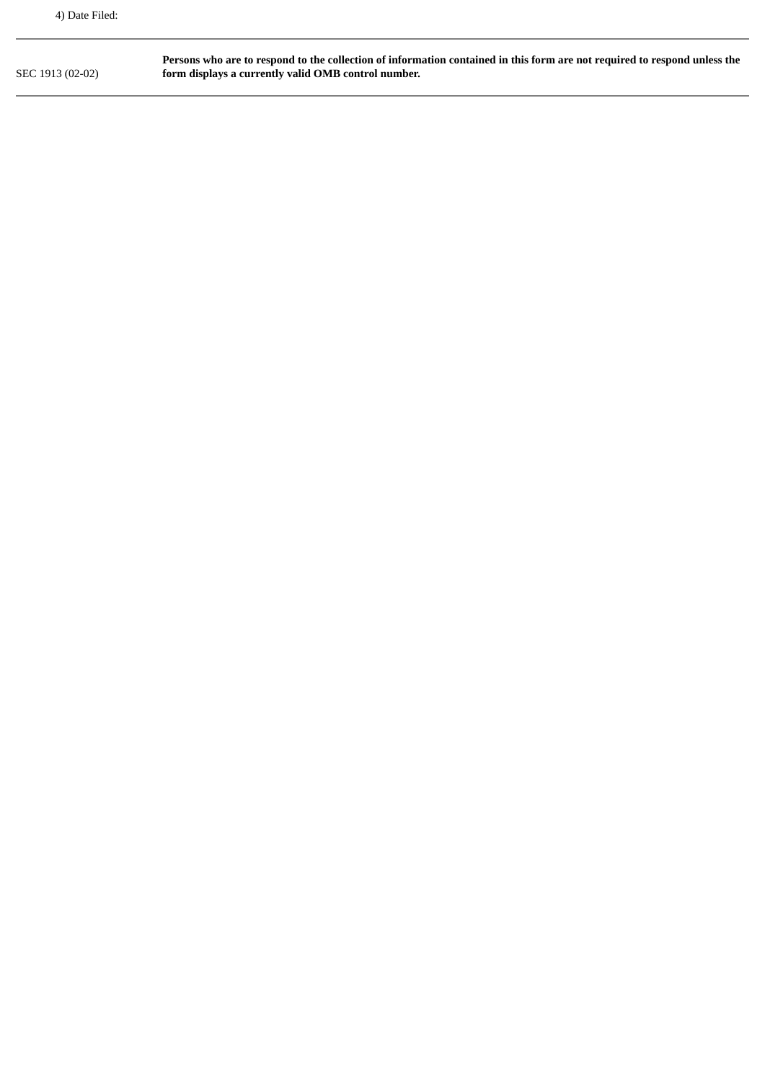SEC 1913 (02-02) **Persons who are to respond to the collection of information contained in this form are not required to respond unless the form displays a currently valid OMB control number.**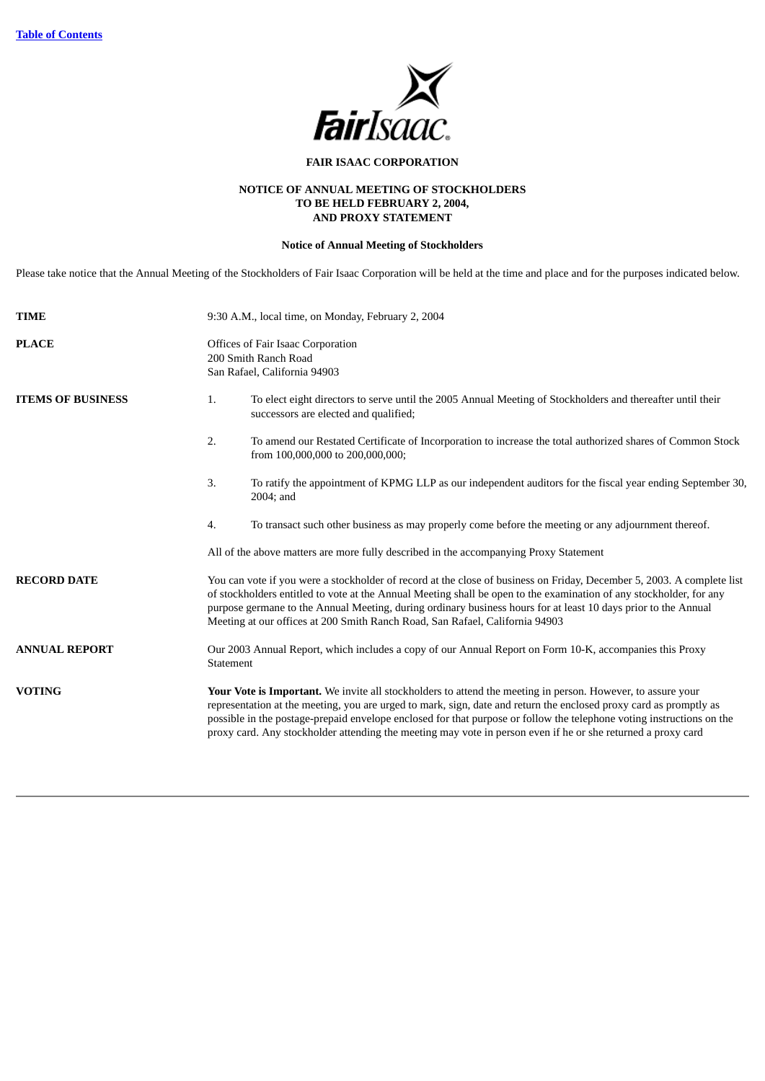

# **FAIR ISAAC CORPORATION**

# **NOTICE OF ANNUAL MEETING OF STOCKHOLDERS TO BE HELD FEBRUARY 2, 2004, AND PROXY STATEMENT**

# **Notice of Annual Meeting of Stockholders**

Please take notice that the Annual Meeting of the Stockholders of Fair Isaac Corporation will be held at the time and place and for the purposes indicated below.

| <b>TIME</b>              |                                                                                                                                                                                                                                                                                                                                                                                                                                                 | 9:30 A.M., local time, on Monday, February 2, 2004                                                                                                                                                                                                                                                                                                                                                                                                                         |  |  |  |  |  |
|--------------------------|-------------------------------------------------------------------------------------------------------------------------------------------------------------------------------------------------------------------------------------------------------------------------------------------------------------------------------------------------------------------------------------------------------------------------------------------------|----------------------------------------------------------------------------------------------------------------------------------------------------------------------------------------------------------------------------------------------------------------------------------------------------------------------------------------------------------------------------------------------------------------------------------------------------------------------------|--|--|--|--|--|
| <b>PLACE</b>             |                                                                                                                                                                                                                                                                                                                                                                                                                                                 | <b>Offices of Fair Isaac Corporation</b><br>200 Smith Ranch Road<br>San Rafael, California 94903                                                                                                                                                                                                                                                                                                                                                                           |  |  |  |  |  |
| <b>ITEMS OF BUSINESS</b> | 1.                                                                                                                                                                                                                                                                                                                                                                                                                                              | To elect eight directors to serve until the 2005 Annual Meeting of Stockholders and thereafter until their<br>successors are elected and qualified;                                                                                                                                                                                                                                                                                                                        |  |  |  |  |  |
|                          | 2.                                                                                                                                                                                                                                                                                                                                                                                                                                              | To amend our Restated Certificate of Incorporation to increase the total authorized shares of Common Stock<br>from 100,000,000 to 200,000,000;                                                                                                                                                                                                                                                                                                                             |  |  |  |  |  |
|                          | 3.                                                                                                                                                                                                                                                                                                                                                                                                                                              | To ratify the appointment of KPMG LLP as our independent auditors for the fiscal year ending September 30,<br>2004; and                                                                                                                                                                                                                                                                                                                                                    |  |  |  |  |  |
|                          | 4.                                                                                                                                                                                                                                                                                                                                                                                                                                              | To transact such other business as may properly come before the meeting or any adjournment thereof.                                                                                                                                                                                                                                                                                                                                                                        |  |  |  |  |  |
|                          |                                                                                                                                                                                                                                                                                                                                                                                                                                                 | All of the above matters are more fully described in the accompanying Proxy Statement                                                                                                                                                                                                                                                                                                                                                                                      |  |  |  |  |  |
| <b>RECORD DATE</b>       | You can vote if you were a stockholder of record at the close of business on Friday, December 5, 2003. A complete list<br>of stockholders entitled to vote at the Annual Meeting shall be open to the examination of any stockholder, for any<br>purpose germane to the Annual Meeting, during ordinary business hours for at least 10 days prior to the Annual<br>Meeting at our offices at 200 Smith Ranch Road, San Rafael, California 94903 |                                                                                                                                                                                                                                                                                                                                                                                                                                                                            |  |  |  |  |  |
| <b>ANNUAL REPORT</b>     | Our 2003 Annual Report, which includes a copy of our Annual Report on Form 10-K, accompanies this Proxy<br>Statement                                                                                                                                                                                                                                                                                                                            |                                                                                                                                                                                                                                                                                                                                                                                                                                                                            |  |  |  |  |  |
| <b>VOTING</b>            |                                                                                                                                                                                                                                                                                                                                                                                                                                                 | Your Vote is Important. We invite all stockholders to attend the meeting in person. However, to assure your<br>representation at the meeting, you are urged to mark, sign, date and return the enclosed proxy card as promptly as<br>possible in the postage-prepaid envelope enclosed for that purpose or follow the telephone voting instructions on the<br>proxy card. Any stockholder attending the meeting may vote in person even if he or she returned a proxy card |  |  |  |  |  |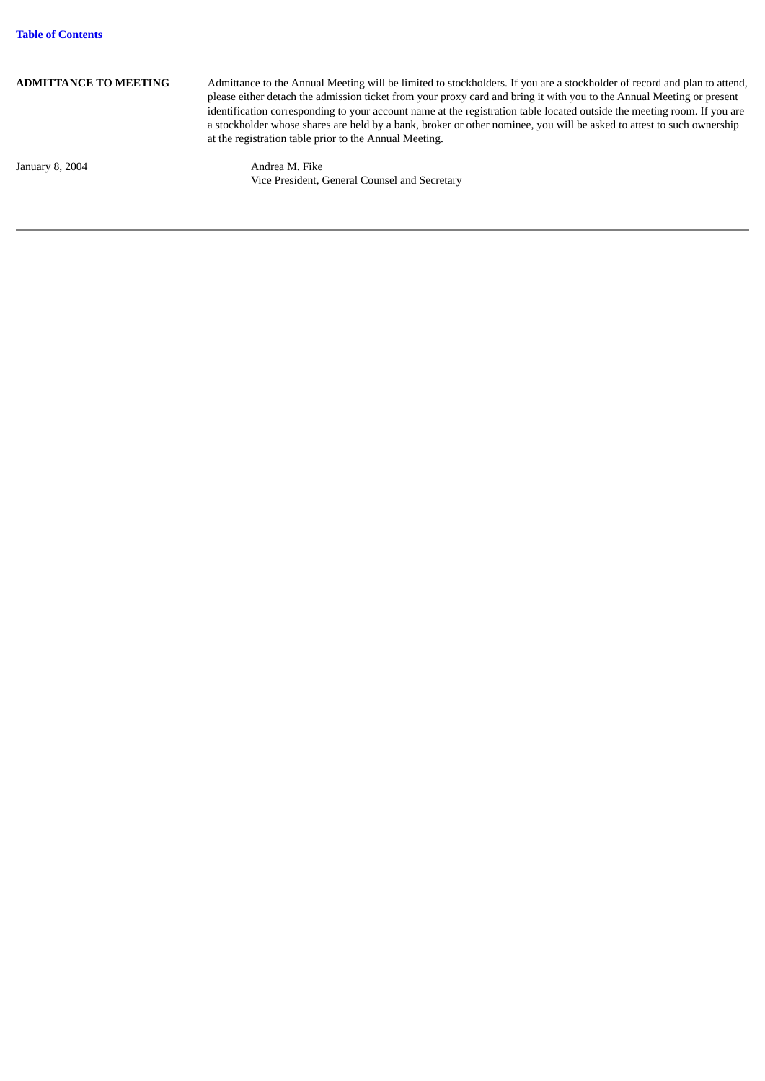ADMITTANCE TO MEETING Admittance to the Annual Meeting will be limited to stockholders. If you are a stockholder of record and plan to attend, please either detach the admission ticket from your proxy card and bring it with you to the Annual Meeting or present identification corresponding to your account name at the registration table located outside the meeting room. If you are a stockholder whose shares are held by a bank, broker or other nominee, you will be asked to attest to such ownership at the registration table prior to the Annual Meeting.

<span id="page-4-0"></span>January 8, 2004 **Andrea M. Fike** 

Vice President, General Counsel and Secretary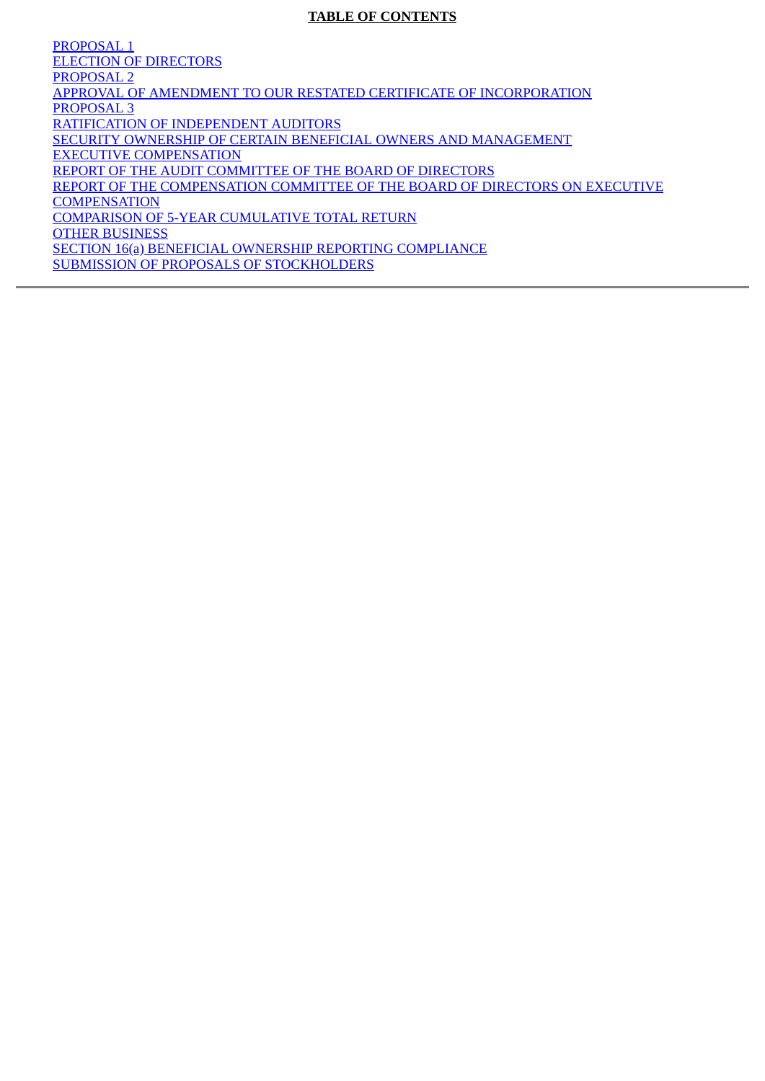# **TABLE OF CONTENTS**

PROPOSAL 1 [ELECTION OF DIRECTORS](#page-7-0) PROPOSAL 2 [APPROVAL OF AMENDMENT TO OUR RESTATED CERTIFICATE OF INCORPORATION](#page-10-0) PROPOSAL 3 [RATIFICATION OF INDEPENDENT AUDITORS](#page-12-0) [SECURITY OWNERSHIP OF CERTAIN BENEFICIAL OWNERS AND MANAGEMENT](#page-13-0) [EXECUTIVE COMPENSATION](#page-15-0) [REPORT OF THE AUDIT COMMITTEE OF THE BOARD OF DIRECTORS](#page-20-0) [REPORT OF THE COMPENSATION COMMITTEE OF THE BOARD OF DIRECTORS ON EXECUTIVE](#page-21-0) **COMPENSATION** [COMPARISON OF 5-YEAR CUMULATIVE TOTAL RETURN](#page-24-0) [OTHER BUSINESS](#page-25-0) [SECTION 16\(a\) BENEFICIAL OWNERSHIP REPORTING COMPLIANCE](#page-25-1) [SUBMISSION OF PROPOSALS OF STOCKHOLDERS](#page-25-2)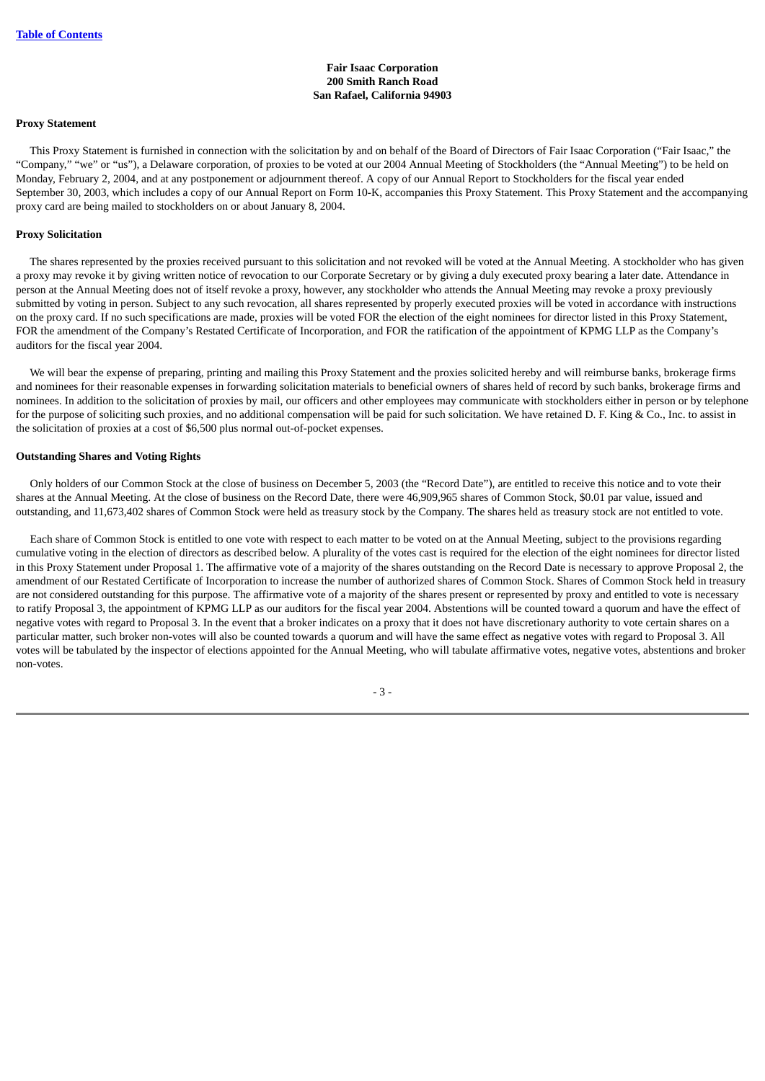## **Fair Isaac Corporation 200 Smith Ranch Road San Rafael, California 94903**

#### **Proxy Statement**

 This Proxy Statement is furnished in connection with the solicitation by and on behalf of the Board of Directors of Fair Isaac Corporation ("Fair Isaac," the "Company," "we" or "us"), a Delaware corporation, of proxies to be voted at our 2004 Annual Meeting of Stockholders (the "Annual Meeting") to be held on Monday, February 2, 2004, and at any postponement or adjournment thereof. A copy of our Annual Report to Stockholders for the fiscal year ended September 30, 2003, which includes a copy of our Annual Report on Form 10-K, accompanies this Proxy Statement. This Proxy Statement and the accompanying proxy card are being mailed to stockholders on or about January 8, 2004.

#### **Proxy Solicitation**

 The shares represented by the proxies received pursuant to this solicitation and not revoked will be voted at the Annual Meeting. A stockholder who has given a proxy may revoke it by giving written notice of revocation to our Corporate Secretary or by giving a duly executed proxy bearing a later date. Attendance in person at the Annual Meeting does not of itself revoke a proxy, however, any stockholder who attends the Annual Meeting may revoke a proxy previously submitted by voting in person. Subject to any such revocation, all shares represented by properly executed proxies will be voted in accordance with instructions on the proxy card. If no such specifications are made, proxies will be voted FOR the election of the eight nominees for director listed in this Proxy Statement, FOR the amendment of the Company's Restated Certificate of Incorporation, and FOR the ratification of the appointment of KPMG LLP as the Company's auditors for the fiscal year 2004.

 We will bear the expense of preparing, printing and mailing this Proxy Statement and the proxies solicited hereby and will reimburse banks, brokerage firms and nominees for their reasonable expenses in forwarding solicitation materials to beneficial owners of shares held of record by such banks, brokerage firms and nominees. In addition to the solicitation of proxies by mail, our officers and other employees may communicate with stockholders either in person or by telephone for the purpose of soliciting such proxies, and no additional compensation will be paid for such solicitation. We have retained D. F. King & Co., Inc. to assist in the solicitation of proxies at a cost of \$6,500 plus normal out-of-pocket expenses.

#### **Outstanding Shares and Voting Rights**

 Only holders of our Common Stock at the close of business on December 5, 2003 (the "Record Date"), are entitled to receive this notice and to vote their shares at the Annual Meeting. At the close of business on the Record Date, there were 46,909,965 shares of Common Stock, \$0.01 par value, issued and outstanding, and 11,673,402 shares of Common Stock were held as treasury stock by the Company. The shares held as treasury stock are not entitled to vote.

 Each share of Common Stock is entitled to one vote with respect to each matter to be voted on at the Annual Meeting, subject to the provisions regarding cumulative voting in the election of directors as described below. A plurality of the votes cast is required for the election of the eight nominees for director listed in this Proxy Statement under Proposal 1. The affirmative vote of a majority of the shares outstanding on the Record Date is necessary to approve Proposal 2, the amendment of our Restated Certificate of Incorporation to increase the number of authorized shares of Common Stock. Shares of Common Stock held in treasury are not considered outstanding for this purpose. The affirmative vote of a majority of the shares present or represented by proxy and entitled to vote is necessary to ratify Proposal 3, the appointment of KPMG LLP as our auditors for the fiscal year 2004. Abstentions will be counted toward a quorum and have the effect of negative votes with regard to Proposal 3. In the event that a broker indicates on a proxy that it does not have discretionary authority to vote certain shares on a particular matter, such broker non-votes will also be counted towards a quorum and will have the same effect as negative votes with regard to Proposal 3. All votes will be tabulated by the inspector of elections appointed for the Annual Meeting, who will tabulate affirmative votes, negative votes, abstentions and broker non-votes.

- 3 -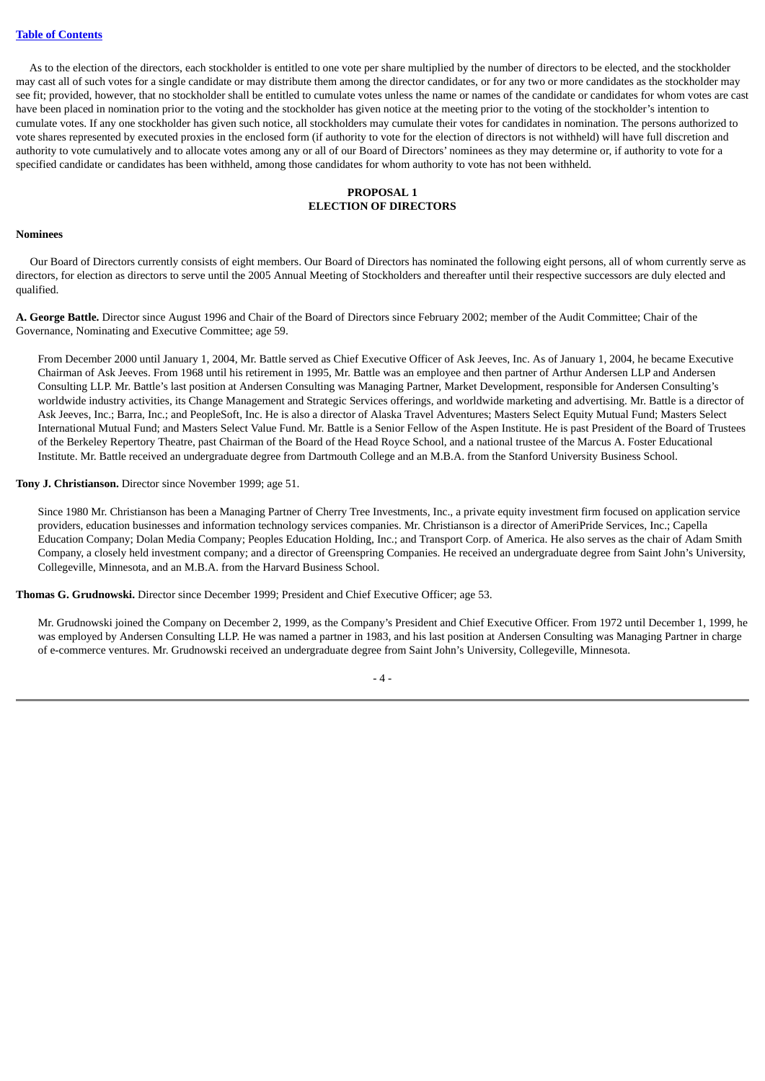As to the election of the directors, each stockholder is entitled to one vote per share multiplied by the number of directors to be elected, and the stockholder may cast all of such votes for a single candidate or may distribute them among the director candidates, or for any two or more candidates as the stockholder may see fit; provided, however, that no stockholder shall be entitled to cumulate votes unless the name or names of the candidate or candidates for whom votes are cast have been placed in nomination prior to the voting and the stockholder has given notice at the meeting prior to the voting of the stockholder's intention to cumulate votes. If any one stockholder has given such notice, all stockholders may cumulate their votes for candidates in nomination. The persons authorized to vote shares represented by executed proxies in the enclosed form (if authority to vote for the election of directors is not withheld) will have full discretion and authority to vote cumulatively and to allocate votes among any or all of our Board of Directors' nominees as they may determine or, if authority to vote for a specified candidate or candidates has been withheld, among those candidates for whom authority to vote has not been withheld.

## **PROPOSAL 1 ELECTION OF DIRECTORS**

## <span id="page-7-0"></span>**Nominees**

 Our Board of Directors currently consists of eight members. Our Board of Directors has nominated the following eight persons, all of whom currently serve as directors, for election as directors to serve until the 2005 Annual Meeting of Stockholders and thereafter until their respective successors are duly elected and qualified.

**A. George Battle.** Director since August 1996 and Chair of the Board of Directors since February 2002; member of the Audit Committee; Chair of the Governance, Nominating and Executive Committee; age 59.

From December 2000 until January 1, 2004, Mr. Battle served as Chief Executive Officer of Ask Jeeves, Inc. As of January 1, 2004, he became Executive Chairman of Ask Jeeves. From 1968 until his retirement in 1995, Mr. Battle was an employee and then partner of Arthur Andersen LLP and Andersen Consulting LLP. Mr. Battle's last position at Andersen Consulting was Managing Partner, Market Development, responsible for Andersen Consulting's worldwide industry activities, its Change Management and Strategic Services offerings, and worldwide marketing and advertising. Mr. Battle is a director of Ask Jeeves, Inc.; Barra, Inc.; and PeopleSoft, Inc. He is also a director of Alaska Travel Adventures; Masters Select Equity Mutual Fund; Masters Select International Mutual Fund; and Masters Select Value Fund. Mr. Battle is a Senior Fellow of the Aspen Institute. He is past President of the Board of Trustees of the Berkeley Repertory Theatre, past Chairman of the Board of the Head Royce School, and a national trustee of the Marcus A. Foster Educational Institute. Mr. Battle received an undergraduate degree from Dartmouth College and an M.B.A. from the Stanford University Business School.

## **Tony J. Christianson.** Director since November 1999; age 51.

Since 1980 Mr. Christianson has been a Managing Partner of Cherry Tree Investments, Inc., a private equity investment firm focused on application service providers, education businesses and information technology services companies. Mr. Christianson is a director of AmeriPride Services, Inc.; Capella Education Company; Dolan Media Company; Peoples Education Holding, Inc.; and Transport Corp. of America. He also serves as the chair of Adam Smith Company, a closely held investment company; and a director of Greenspring Companies. He received an undergraduate degree from Saint John's University, Collegeville, Minnesota, and an M.B.A. from the Harvard Business School.

**Thomas G. Grudnowski.** Director since December 1999; President and Chief Executive Officer; age 53.

Mr. Grudnowski joined the Company on December 2, 1999, as the Company's President and Chief Executive Officer. From 1972 until December 1, 1999, he was employed by Andersen Consulting LLP. He was named a partner in 1983, and his last position at Andersen Consulting was Managing Partner in charge of e-commerce ventures. Mr. Grudnowski received an undergraduate degree from Saint John's University, Collegeville, Minnesota.

 $-4-$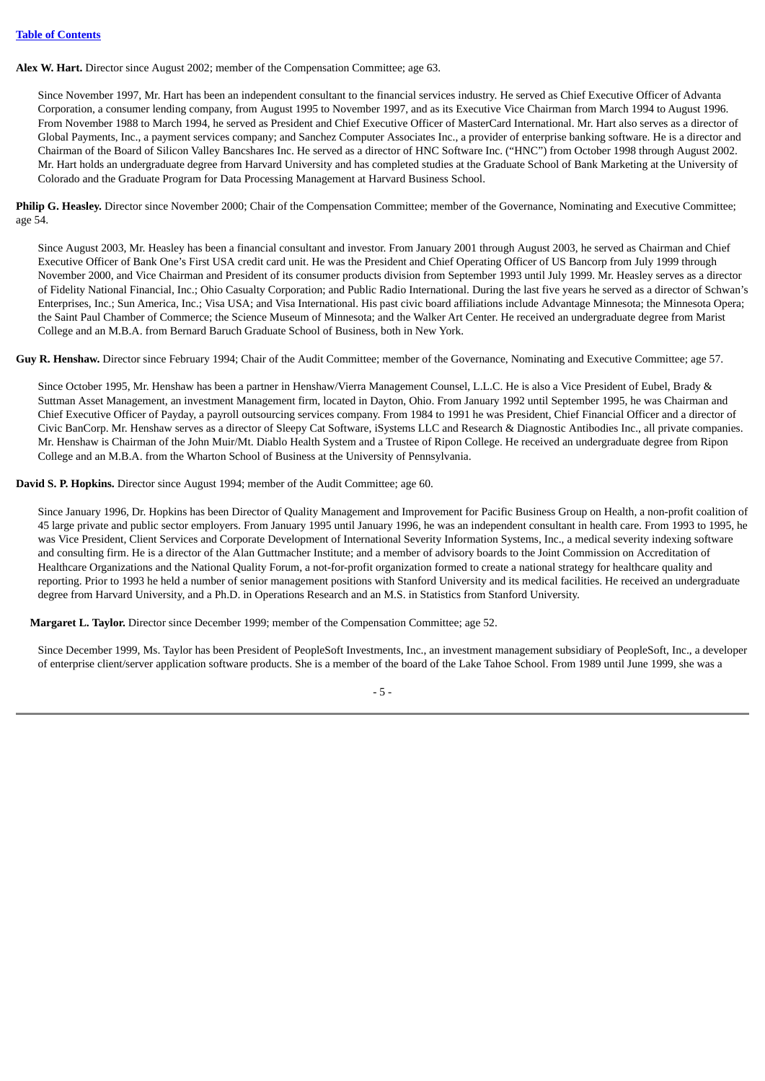**Alex W. Hart.** Director since August 2002; member of the Compensation Committee; age 63.

Since November 1997, Mr. Hart has been an independent consultant to the financial services industry. He served as Chief Executive Officer of Advanta Corporation, a consumer lending company, from August 1995 to November 1997, and as its Executive Vice Chairman from March 1994 to August 1996. From November 1988 to March 1994, he served as President and Chief Executive Officer of MasterCard International. Mr. Hart also serves as a director of Global Payments, Inc., a payment services company; and Sanchez Computer Associates Inc., a provider of enterprise banking software. He is a director and Chairman of the Board of Silicon Valley Bancshares Inc. He served as a director of HNC Software Inc. ("HNC") from October 1998 through August 2002. Mr. Hart holds an undergraduate degree from Harvard University and has completed studies at the Graduate School of Bank Marketing at the University of Colorado and the Graduate Program for Data Processing Management at Harvard Business School.

**Philip G. Heasley.** Director since November 2000; Chair of the Compensation Committee; member of the Governance, Nominating and Executive Committee; age 54.

Since August 2003, Mr. Heasley has been a financial consultant and investor. From January 2001 through August 2003, he served as Chairman and Chief Executive Officer of Bank One's First USA credit card unit. He was the President and Chief Operating Officer of US Bancorp from July 1999 through November 2000, and Vice Chairman and President of its consumer products division from September 1993 until July 1999. Mr. Heasley serves as a director of Fidelity National Financial, Inc.; Ohio Casualty Corporation; and Public Radio International. During the last five years he served as a director of Schwan's Enterprises, Inc.; Sun America, Inc.; Visa USA; and Visa International. His past civic board affiliations include Advantage Minnesota; the Minnesota Opera; the Saint Paul Chamber of Commerce; the Science Museum of Minnesota; and the Walker Art Center. He received an undergraduate degree from Marist College and an M.B.A. from Bernard Baruch Graduate School of Business, both in New York.

**Guy R. Henshaw.** Director since February 1994; Chair of the Audit Committee; member of the Governance, Nominating and Executive Committee; age 57.

Since October 1995, Mr. Henshaw has been a partner in Henshaw/Vierra Management Counsel, L.L.C. He is also a Vice President of Eubel, Brady & Suttman Asset Management, an investment Management firm, located in Dayton, Ohio. From January 1992 until September 1995, he was Chairman and Chief Executive Officer of Payday, a payroll outsourcing services company. From 1984 to 1991 he was President, Chief Financial Officer and a director of Civic BanCorp. Mr. Henshaw serves as a director of Sleepy Cat Software, iSystems LLC and Research & Diagnostic Antibodies Inc., all private companies. Mr. Henshaw is Chairman of the John Muir/Mt. Diablo Health System and a Trustee of Ripon College. He received an undergraduate degree from Ripon College and an M.B.A. from the Wharton School of Business at the University of Pennsylvania.

**David S. P. Hopkins.** Director since August 1994; member of the Audit Committee; age 60.

Since January 1996, Dr. Hopkins has been Director of Quality Management and Improvement for Pacific Business Group on Health, a non-profit coalition of 45 large private and public sector employers. From January 1995 until January 1996, he was an independent consultant in health care. From 1993 to 1995, he was Vice President, Client Services and Corporate Development of International Severity Information Systems, Inc., a medical severity indexing software and consulting firm. He is a director of the Alan Guttmacher Institute; and a member of advisory boards to the Joint Commission on Accreditation of Healthcare Organizations and the National Quality Forum, a not-for-profit organization formed to create a national strategy for healthcare quality and reporting. Prior to 1993 he held a number of senior management positions with Stanford University and its medical facilities. He received an undergraduate degree from Harvard University, and a Ph.D. in Operations Research and an M.S. in Statistics from Stanford University.

**Margaret L. Taylor.** Director since December 1999; member of the Compensation Committee; age 52.

Since December 1999, Ms. Taylor has been President of PeopleSoft Investments, Inc., an investment management subsidiary of PeopleSoft, Inc., a developer of enterprise client/server application software products. She is a member of the board of the Lake Tahoe School. From 1989 until June 1999, she was a

- 5 -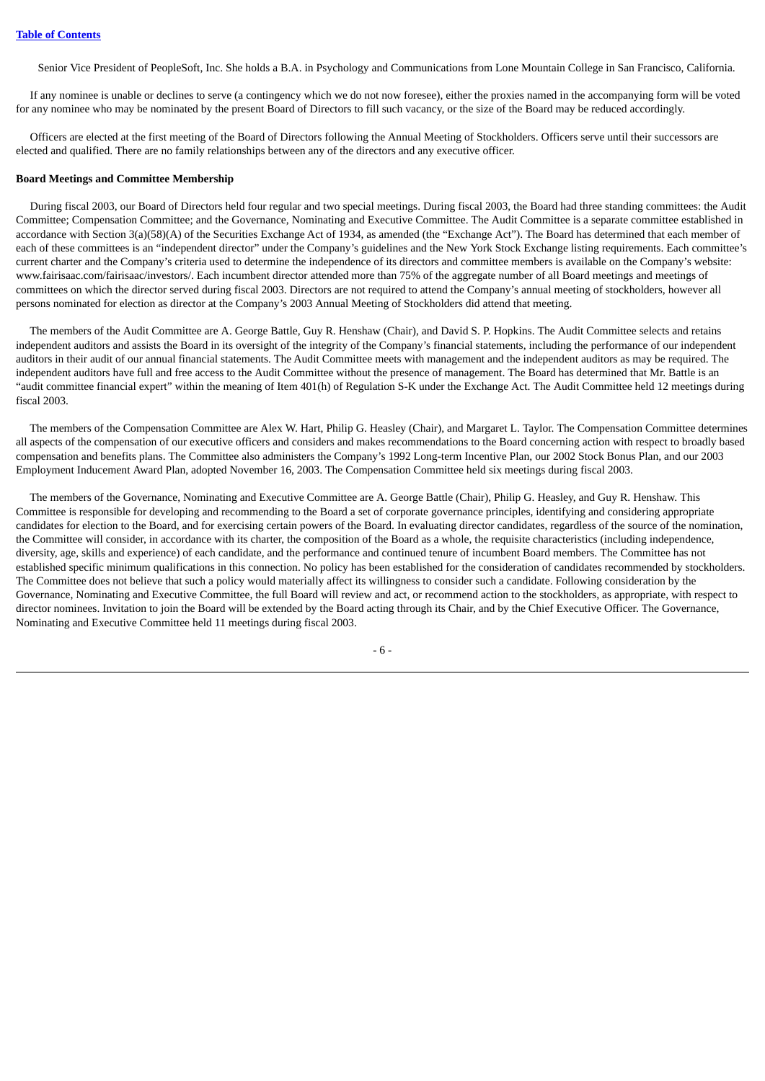Senior Vice President of PeopleSoft, Inc. She holds a B.A. in Psychology and Communications from Lone Mountain College in San Francisco, California.

 If any nominee is unable or declines to serve (a contingency which we do not now foresee), either the proxies named in the accompanying form will be voted for any nominee who may be nominated by the present Board of Directors to fill such vacancy, or the size of the Board may be reduced accordingly.

 Officers are elected at the first meeting of the Board of Directors following the Annual Meeting of Stockholders. Officers serve until their successors are elected and qualified. There are no family relationships between any of the directors and any executive officer.

#### **Board Meetings and Committee Membership**

 During fiscal 2003, our Board of Directors held four regular and two special meetings. During fiscal 2003, the Board had three standing committees: the Audit Committee; Compensation Committee; and the Governance, Nominating and Executive Committee. The Audit Committee is a separate committee established in accordance with Section 3(a)(58)(A) of the Securities Exchange Act of 1934, as amended (the "Exchange Act"). The Board has determined that each member of each of these committees is an "independent director" under the Company's guidelines and the New York Stock Exchange listing requirements. Each committee's current charter and the Company's criteria used to determine the independence of its directors and committee members is available on the Company's website: www.fairisaac.com/fairisaac/investors/. Each incumbent director attended more than 75% of the aggregate number of all Board meetings and meetings of committees on which the director served during fiscal 2003. Directors are not required to attend the Company's annual meeting of stockholders, however all persons nominated for election as director at the Company's 2003 Annual Meeting of Stockholders did attend that meeting.

 The members of the Audit Committee are A. George Battle, Guy R. Henshaw (Chair), and David S. P. Hopkins. The Audit Committee selects and retains independent auditors and assists the Board in its oversight of the integrity of the Company's financial statements, including the performance of our independent auditors in their audit of our annual financial statements. The Audit Committee meets with management and the independent auditors as may be required. The independent auditors have full and free access to the Audit Committee without the presence of management. The Board has determined that Mr. Battle is an "audit committee financial expert" within the meaning of Item 401(h) of Regulation S-K under the Exchange Act. The Audit Committee held 12 meetings during fiscal 2003.

 The members of the Compensation Committee are Alex W. Hart, Philip G. Heasley (Chair), and Margaret L. Taylor. The Compensation Committee determines all aspects of the compensation of our executive officers and considers and makes recommendations to the Board concerning action with respect to broadly based compensation and benefits plans. The Committee also administers the Company's 1992 Long-term Incentive Plan, our 2002 Stock Bonus Plan, and our 2003 Employment Inducement Award Plan, adopted November 16, 2003. The Compensation Committee held six meetings during fiscal 2003.

 The members of the Governance, Nominating and Executive Committee are A. George Battle (Chair), Philip G. Heasley, and Guy R. Henshaw. This Committee is responsible for developing and recommending to the Board a set of corporate governance principles, identifying and considering appropriate candidates for election to the Board, and for exercising certain powers of the Board. In evaluating director candidates, regardless of the source of the nomination, the Committee will consider, in accordance with its charter, the composition of the Board as a whole, the requisite characteristics (including independence, diversity, age, skills and experience) of each candidate, and the performance and continued tenure of incumbent Board members. The Committee has not established specific minimum qualifications in this connection. No policy has been established for the consideration of candidates recommended by stockholders. The Committee does not believe that such a policy would materially affect its willingness to consider such a candidate. Following consideration by the Governance, Nominating and Executive Committee, the full Board will review and act, or recommend action to the stockholders, as appropriate, with respect to director nominees. Invitation to join the Board will be extended by the Board acting through its Chair, and by the Chief Executive Officer. The Governance, Nominating and Executive Committee held 11 meetings during fiscal 2003.

- 6 -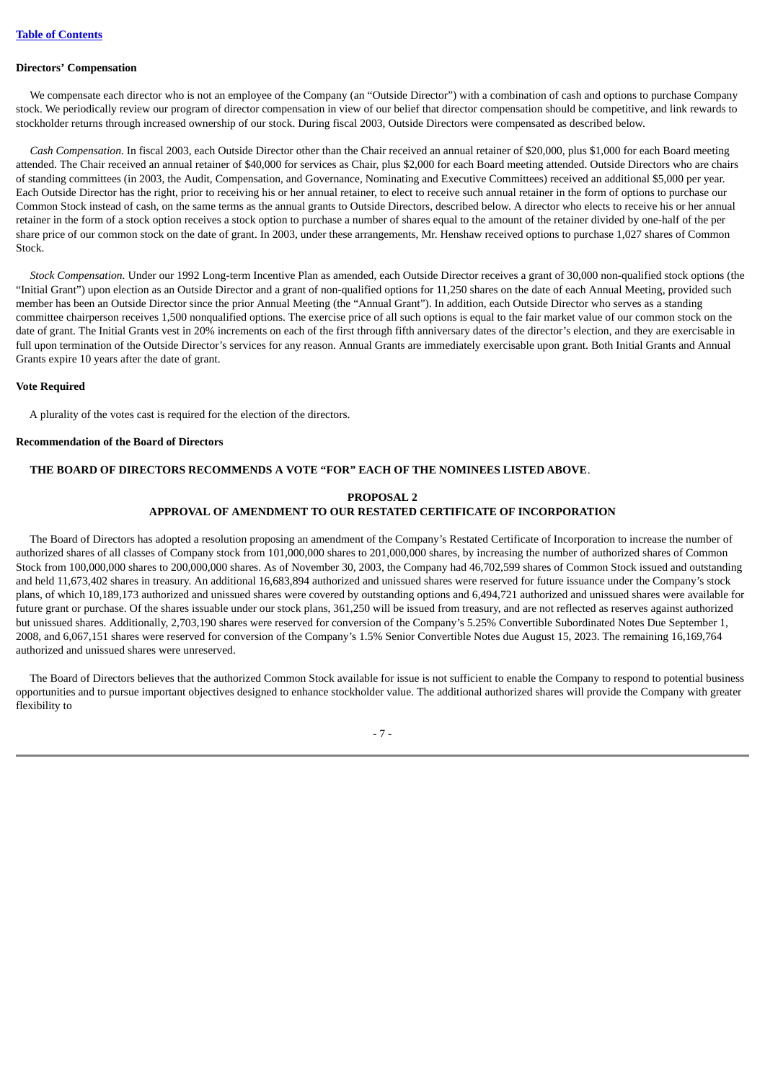#### **Directors' Compensation**

 We compensate each director who is not an employee of the Company (an "Outside Director") with a combination of cash and options to purchase Company stock. We periodically review our program of director compensation in view of our belief that director compensation should be competitive, and link rewards to stockholder returns through increased ownership of our stock. During fiscal 2003, Outside Directors were compensated as described below.

 *Cash Compensation.* In fiscal 2003, each Outside Director other than the Chair received an annual retainer of \$20,000, plus \$1,000 for each Board meeting attended. The Chair received an annual retainer of \$40,000 for services as Chair, plus \$2,000 for each Board meeting attended. Outside Directors who are chairs of standing committees (in 2003, the Audit, Compensation, and Governance, Nominating and Executive Committees) received an additional \$5,000 per year. Each Outside Director has the right, prior to receiving his or her annual retainer, to elect to receive such annual retainer in the form of options to purchase our Common Stock instead of cash, on the same terms as the annual grants to Outside Directors, described below. A director who elects to receive his or her annual retainer in the form of a stock option receives a stock option to purchase a number of shares equal to the amount of the retainer divided by one-half of the per share price of our common stock on the date of grant. In 2003, under these arrangements, Mr. Henshaw received options to purchase 1,027 shares of Common Stock.

 *Stock Compensation.* Under our 1992 Long-term Incentive Plan as amended, each Outside Director receives a grant of 30,000 non-qualified stock options (the "Initial Grant") upon election as an Outside Director and a grant of non-qualified options for 11,250 shares on the date of each Annual Meeting, provided such member has been an Outside Director since the prior Annual Meeting (the "Annual Grant"). In addition, each Outside Director who serves as a standing committee chairperson receives 1,500 nonqualified options. The exercise price of all such options is equal to the fair market value of our common stock on the date of grant. The Initial Grants vest in 20% increments on each of the first through fifth anniversary dates of the director's election, and they are exercisable in full upon termination of the Outside Director's services for any reason. Annual Grants are immediately exercisable upon grant. Both Initial Grants and Annual Grants expire 10 years after the date of grant.

## **Vote Required**

A plurality of the votes cast is required for the election of the directors.

#### **Recommendation of the Board of Directors**

## <span id="page-10-0"></span>**THE BOARD OF DIRECTORS RECOMMENDS A VOTE "FOR" EACH OF THE NOMINEES LISTED ABOVE**.

# **PROPOSAL 2 APPROVAL OF AMENDMENT TO OUR RESTATED CERTIFICATE OF INCORPORATION**

 The Board of Directors has adopted a resolution proposing an amendment of the Company's Restated Certificate of Incorporation to increase the number of authorized shares of all classes of Company stock from 101,000,000 shares to 201,000,000 shares, by increasing the number of authorized shares of Common Stock from 100,000,000 shares to 200,000,000 shares. As of November 30, 2003, the Company had 46,702,599 shares of Common Stock issued and outstanding and held 11,673,402 shares in treasury. An additional 16,683,894 authorized and unissued shares were reserved for future issuance under the Company's stock plans, of which 10,189,173 authorized and unissued shares were covered by outstanding options and 6,494,721 authorized and unissued shares were available for future grant or purchase. Of the shares issuable under our stock plans, 361,250 will be issued from treasury, and are not reflected as reserves against authorized but unissued shares. Additionally, 2,703,190 shares were reserved for conversion of the Company's 5.25% Convertible Subordinated Notes Due September 1, 2008, and 6,067,151 shares were reserved for conversion of the Company's 1.5% Senior Convertible Notes due August 15, 2023. The remaining 16,169,764 authorized and unissued shares were unreserved.

 The Board of Directors believes that the authorized Common Stock available for issue is not sufficient to enable the Company to respond to potential business opportunities and to pursue important objectives designed to enhance stockholder value. The additional authorized shares will provide the Company with greater flexibility to

- 7 -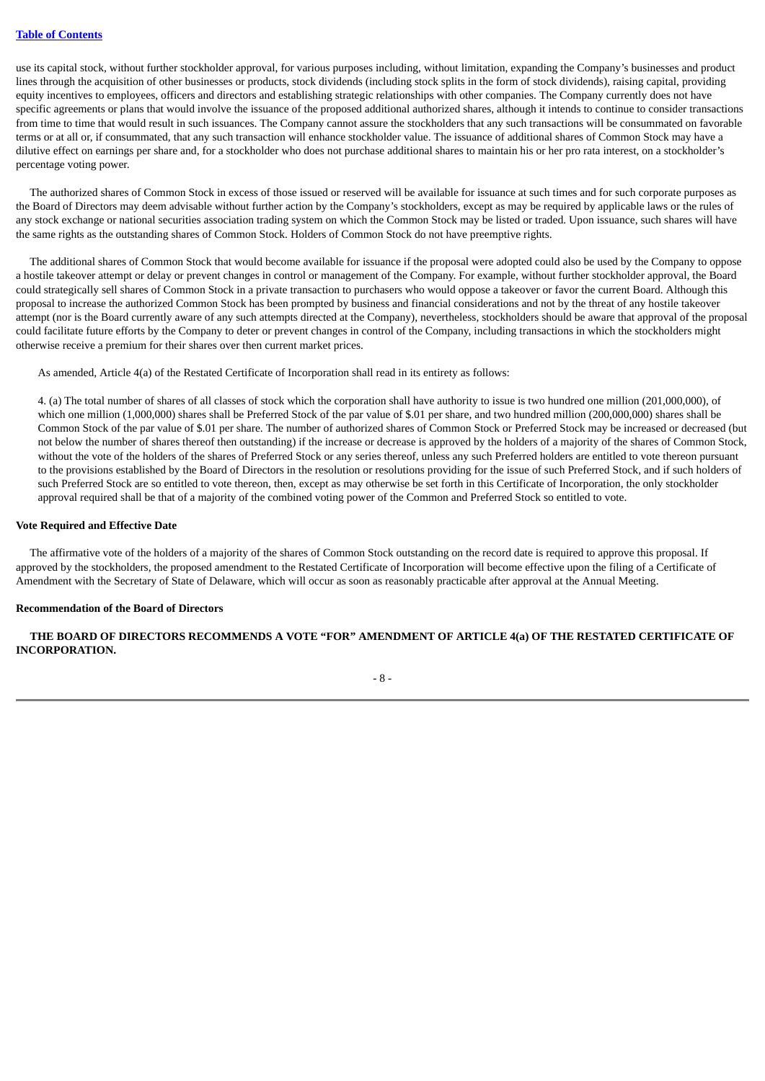use its capital stock, without further stockholder approval, for various purposes including, without limitation, expanding the Company's businesses and product lines through the acquisition of other businesses or products, stock dividends (including stock splits in the form of stock dividends), raising capital, providing equity incentives to employees, officers and directors and establishing strategic relationships with other companies. The Company currently does not have specific agreements or plans that would involve the issuance of the proposed additional authorized shares, although it intends to continue to consider transactions from time to time that would result in such issuances. The Company cannot assure the stockholders that any such transactions will be consummated on favorable terms or at all or, if consummated, that any such transaction will enhance stockholder value. The issuance of additional shares of Common Stock may have a dilutive effect on earnings per share and, for a stockholder who does not purchase additional shares to maintain his or her pro rata interest, on a stockholder's percentage voting power.

 The authorized shares of Common Stock in excess of those issued or reserved will be available for issuance at such times and for such corporate purposes as the Board of Directors may deem advisable without further action by the Company's stockholders, except as may be required by applicable laws or the rules of any stock exchange or national securities association trading system on which the Common Stock may be listed or traded. Upon issuance, such shares will have the same rights as the outstanding shares of Common Stock. Holders of Common Stock do not have preemptive rights.

 The additional shares of Common Stock that would become available for issuance if the proposal were adopted could also be used by the Company to oppose a hostile takeover attempt or delay or prevent changes in control or management of the Company. For example, without further stockholder approval, the Board could strategically sell shares of Common Stock in a private transaction to purchasers who would oppose a takeover or favor the current Board. Although this proposal to increase the authorized Common Stock has been prompted by business and financial considerations and not by the threat of any hostile takeover attempt (nor is the Board currently aware of any such attempts directed at the Company), nevertheless, stockholders should be aware that approval of the proposal could facilitate future efforts by the Company to deter or prevent changes in control of the Company, including transactions in which the stockholders might otherwise receive a premium for their shares over then current market prices.

As amended, Article 4(a) of the Restated Certificate of Incorporation shall read in its entirety as follows:

4. (a) The total number of shares of all classes of stock which the corporation shall have authority to issue is two hundred one million (201,000,000), of which one million (1,000,000) shares shall be Preferred Stock of the par value of \$.01 per share, and two hundred million (200,000,000) shares shall be Common Stock of the par value of \$.01 per share. The number of authorized shares of Common Stock or Preferred Stock may be increased or decreased (but not below the number of shares thereof then outstanding) if the increase or decrease is approved by the holders of a majority of the shares of Common Stock, without the vote of the holders of the shares of Preferred Stock or any series thereof, unless any such Preferred holders are entitled to vote thereon pursuant to the provisions established by the Board of Directors in the resolution or resolutions providing for the issue of such Preferred Stock, and if such holders of such Preferred Stock are so entitled to vote thereon, then, except as may otherwise be set forth in this Certificate of Incorporation, the only stockholder approval required shall be that of a majority of the combined voting power of the Common and Preferred Stock so entitled to vote.

#### **Vote Required and Effective Date**

 The affirmative vote of the holders of a majority of the shares of Common Stock outstanding on the record date is required to approve this proposal. If approved by the stockholders, the proposed amendment to the Restated Certificate of Incorporation will become effective upon the filing of a Certificate of Amendment with the Secretary of State of Delaware, which will occur as soon as reasonably practicable after approval at the Annual Meeting.

#### **Recommendation of the Board of Directors**

# **THE BOARD OF DIRECTORS RECOMMENDS A VOTE "FOR" AMENDMENT OF ARTICLE 4(a) OF THE RESTATED CERTIFICATE OF INCORPORATION.**

 $- 8 -$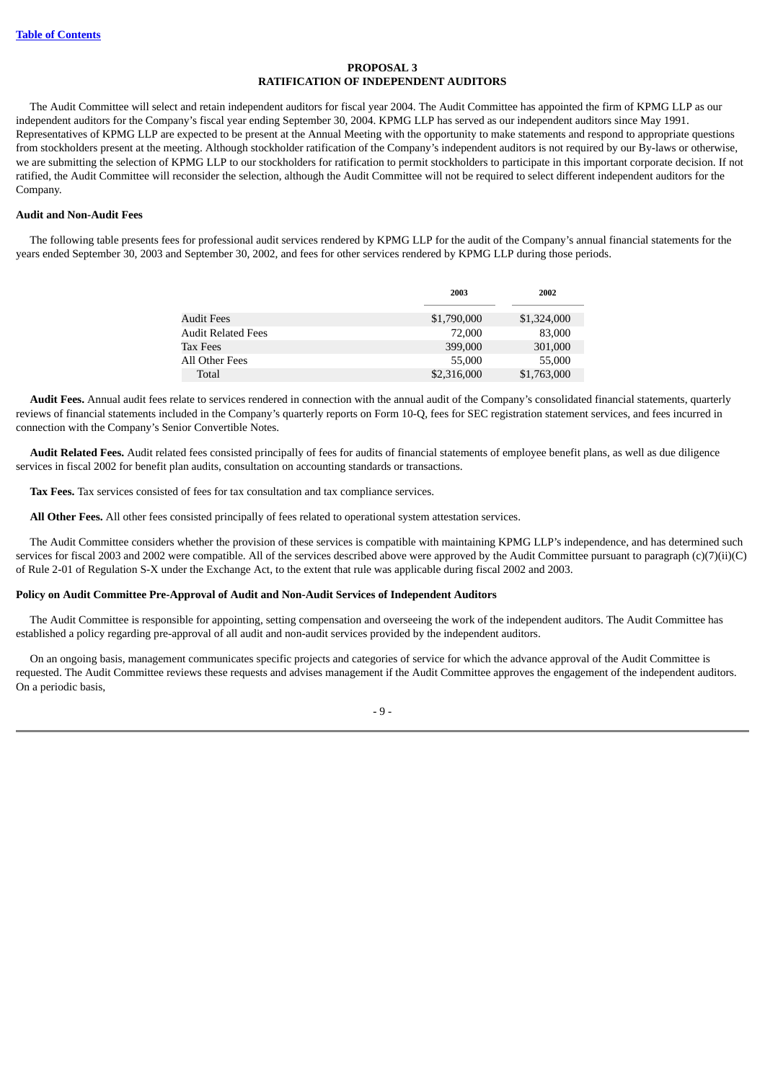## **PROPOSAL 3 RATIFICATION OF INDEPENDENT AUDITORS**

<span id="page-12-0"></span> The Audit Committee will select and retain independent auditors for fiscal year 2004. The Audit Committee has appointed the firm of KPMG LLP as our independent auditors for the Company's fiscal year ending September 30, 2004. KPMG LLP has served as our independent auditors since May 1991. Representatives of KPMG LLP are expected to be present at the Annual Meeting with the opportunity to make statements and respond to appropriate questions from stockholders present at the meeting. Although stockholder ratification of the Company's independent auditors is not required by our By-laws or otherwise, we are submitting the selection of KPMG LLP to our stockholders for ratification to permit stockholders to participate in this important corporate decision. If not ratified, the Audit Committee will reconsider the selection, although the Audit Committee will not be required to select different independent auditors for the Company.

#### **Audit and Non-Audit Fees**

 The following table presents fees for professional audit services rendered by KPMG LLP for the audit of the Company's annual financial statements for the years ended September 30, 2003 and September 30, 2002, and fees for other services rendered by KPMG LLP during those periods.

|                           | 2003        | 2002        |
|---------------------------|-------------|-------------|
| Audit Fees                | \$1,790,000 | \$1,324,000 |
| <b>Audit Related Fees</b> | 72,000      | 83,000      |
| <b>Tax Fees</b>           | 399,000     | 301,000     |
| All Other Fees            | 55,000      | 55,000      |
| Total                     | \$2,316,000 | \$1,763,000 |

 **Audit Fees.** Annual audit fees relate to services rendered in connection with the annual audit of the Company's consolidated financial statements, quarterly reviews of financial statements included in the Company's quarterly reports on Form 10-Q, fees for SEC registration statement services, and fees incurred in connection with the Company's Senior Convertible Notes.

 **Audit Related Fees.** Audit related fees consisted principally of fees for audits of financial statements of employee benefit plans, as well as due diligence services in fiscal 2002 for benefit plan audits, consultation on accounting standards or transactions.

**Tax Fees.** Tax services consisted of fees for tax consultation and tax compliance services.

**All Other Fees.** All other fees consisted principally of fees related to operational system attestation services.

 The Audit Committee considers whether the provision of these services is compatible with maintaining KPMG LLP's independence, and has determined such services for fiscal 2003 and 2002 were compatible. All of the services described above were approved by the Audit Committee pursuant to paragraph (c)(7)(ii)(C) of Rule 2-01 of Regulation S-X under the Exchange Act, to the extent that rule was applicable during fiscal 2002 and 2003.

## **Policy on Audit Committee Pre-Approval of Audit and Non-Audit Services of Independent Auditors**

 The Audit Committee is responsible for appointing, setting compensation and overseeing the work of the independent auditors. The Audit Committee has established a policy regarding pre-approval of all audit and non-audit services provided by the independent auditors.

 On an ongoing basis, management communicates specific projects and categories of service for which the advance approval of the Audit Committee is requested. The Audit Committee reviews these requests and advises management if the Audit Committee approves the engagement of the independent auditors. On a periodic basis,

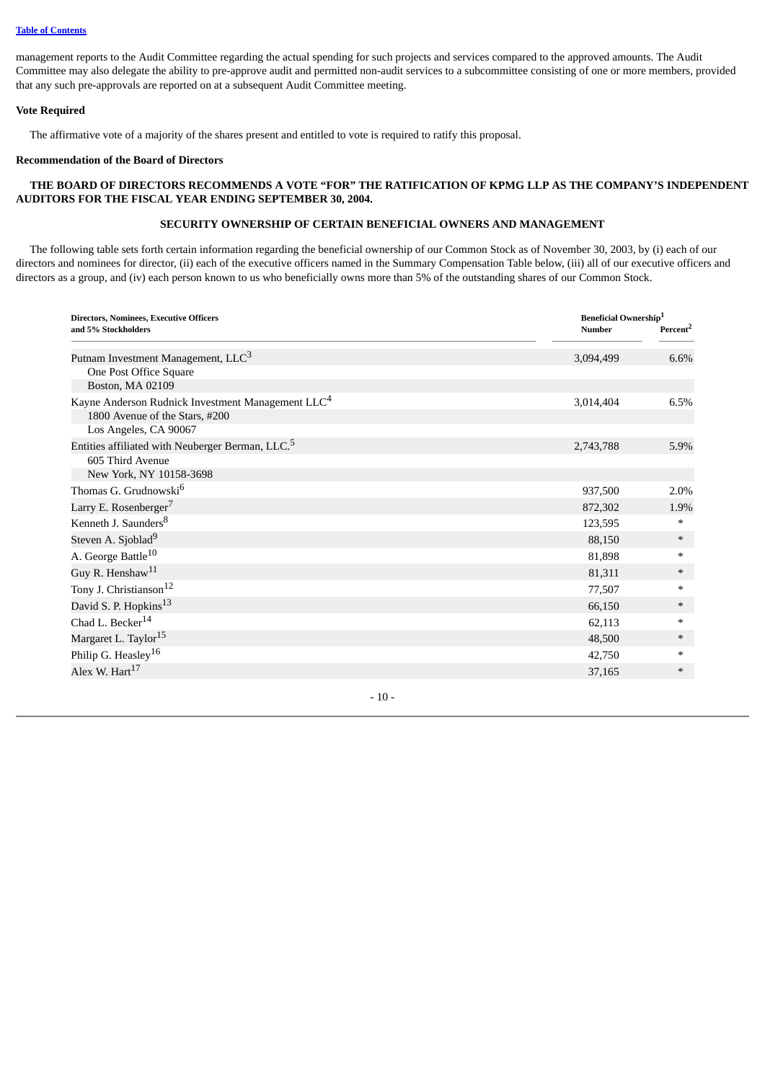management reports to the Audit Committee regarding the actual spending for such projects and services compared to the approved amounts. The Audit Committee may also delegate the ability to pre-approve audit and permitted non-audit services to a subcommittee consisting of one or more members, provided that any such pre-approvals are reported on at a subsequent Audit Committee meeting.

## **Vote Required**

The affirmative vote of a majority of the shares present and entitled to vote is required to ratify this proposal.

## **Recommendation of the Board of Directors**

# **THE BOARD OF DIRECTORS RECOMMENDS A VOTE "FOR" THE RATIFICATION OF KPMG LLP AS THE COMPANY'S INDEPENDENT AUDITORS FOR THE FISCAL YEAR ENDING SEPTEMBER 30, 2004.**

# **SECURITY OWNERSHIP OF CERTAIN BENEFICIAL OWNERS AND MANAGEMENT**

<span id="page-13-0"></span> The following table sets forth certain information regarding the beneficial ownership of our Common Stock as of November 30, 2003, by (i) each of our directors and nominees for director, (ii) each of the executive officers named in the Summary Compensation Table below, (iii) all of our executive officers and directors as a group, and (iv) each person known to us who beneficially owns more than 5% of the outstanding shares of our Common Stock.

| and 5% Stockholders                                           | <b>Beneficial Ownership</b> <sup>1</sup><br><b>Number</b> |                      |
|---------------------------------------------------------------|-----------------------------------------------------------|----------------------|
|                                                               |                                                           | Percent <sup>2</sup> |
| Putnam Investment Management, LLC <sup>3</sup>                | 3,094,499                                                 | 6.6%                 |
| One Post Office Square                                        |                                                           |                      |
| Boston, MA 02109                                              |                                                           |                      |
| Kayne Anderson Rudnick Investment Management LLC <sup>4</sup> | 3,014,404                                                 | 6.5%                 |
| 1800 Avenue of the Stars, #200                                |                                                           |                      |
| Los Angeles, CA 90067                                         |                                                           |                      |
| Entities affiliated with Neuberger Berman, LLC. <sup>5</sup>  | 2,743,788                                                 | 5.9%                 |
| 605 Third Avenue                                              |                                                           |                      |
| New York, NY 10158-3698                                       |                                                           |                      |
| Thomas G. Grudnowski <sup>6</sup>                             | 937,500                                                   | 2.0%                 |
| Larry E. Rosenberger <sup>7</sup>                             | 872,302                                                   | 1.9%                 |
| Kenneth J. Saunders <sup>8</sup>                              | 123,595                                                   | $\ast$               |
| Steven A. Sjoblad <sup>9</sup>                                | 88,150                                                    | $\ast$               |
| A. George Battle <sup>10</sup>                                | 81,898                                                    | *                    |
| Guy R. Henshaw <sup>11</sup>                                  | 81,311                                                    | $\ast$               |
| Tony J. Christianson <sup>12</sup>                            | 77,507                                                    | *                    |
| David S. P. Hopkins <sup>13</sup>                             | 66,150                                                    | $\ast$               |
| Chad L. Becker <sup>14</sup>                                  | 62,113                                                    | *                    |
| Margaret L. Taylor <sup>15</sup>                              | 48,500                                                    | $*$                  |
| Philip G. Heasley <sup>16</sup>                               | 42,750                                                    | *                    |
| Alex W. Hart <sup>17</sup>                                    | 37,165                                                    | $*$                  |

 $-10-$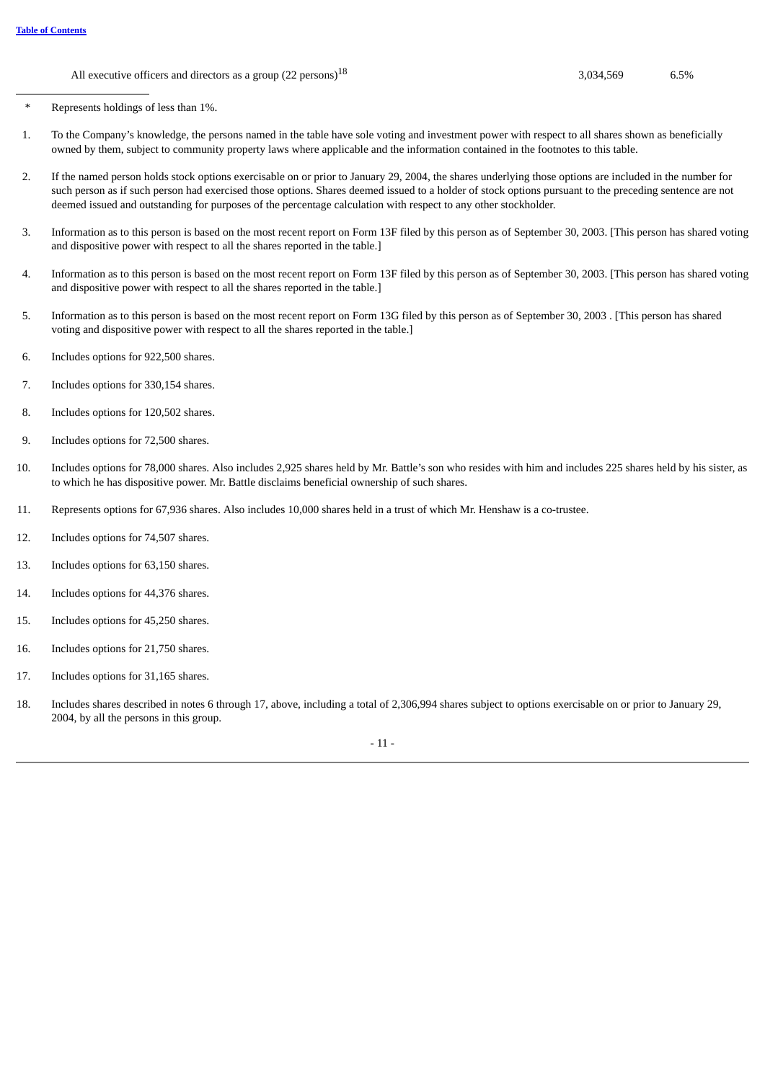All executive officers and directors as a group  $(22 \text{ persons})^{18}$  3,034,569 6.5%

\* Represents holdings of less than 1%.

- 1. To the Company's knowledge, the persons named in the table have sole voting and investment power with respect to all shares shown as beneficially owned by them, subject to community property laws where applicable and the information contained in the footnotes to this table.
- 2. If the named person holds stock options exercisable on or prior to January 29, 2004, the shares underlying those options are included in the number for such person as if such person had exercised those options. Shares deemed issued to a holder of stock options pursuant to the preceding sentence are not deemed issued and outstanding for purposes of the percentage calculation with respect to any other stockholder.
- 3. Information as to this person is based on the most recent report on Form 13F filed by this person as of September 30, 2003. [This person has shared voting and dispositive power with respect to all the shares reported in the table.]
- 4. Information as to this person is based on the most recent report on Form 13F filed by this person as of September 30, 2003. [This person has shared voting and dispositive power with respect to all the shares reported in the table.]
- 5. Information as to this person is based on the most recent report on Form 13G filed by this person as of September 30, 2003 . [This person has shared voting and dispositive power with respect to all the shares reported in the table.]
- 6. Includes options for 922,500 shares.
- 7. Includes options for 330,154 shares.
- 8. Includes options for 120,502 shares.
- 9. Includes options for 72,500 shares.
- 10. Includes options for 78,000 shares. Also includes 2,925 shares held by Mr. Battle's son who resides with him and includes 225 shares held by his sister, as to which he has dispositive power. Mr. Battle disclaims beneficial ownership of such shares.
- 11. Represents options for 67,936 shares. Also includes 10,000 shares held in a trust of which Mr. Henshaw is a co-trustee.
- 12. Includes options for 74,507 shares.
- 13. Includes options for 63,150 shares.
- 14. Includes options for 44,376 shares.
- 15. Includes options for 45,250 shares.
- 16. Includes options for 21,750 shares.
- 17. Includes options for 31,165 shares.
- 18. Includes shares described in notes 6 through 17, above, including a total of 2,306,994 shares subject to options exercisable on or prior to January 29, 2004, by all the persons in this group.

- 11 -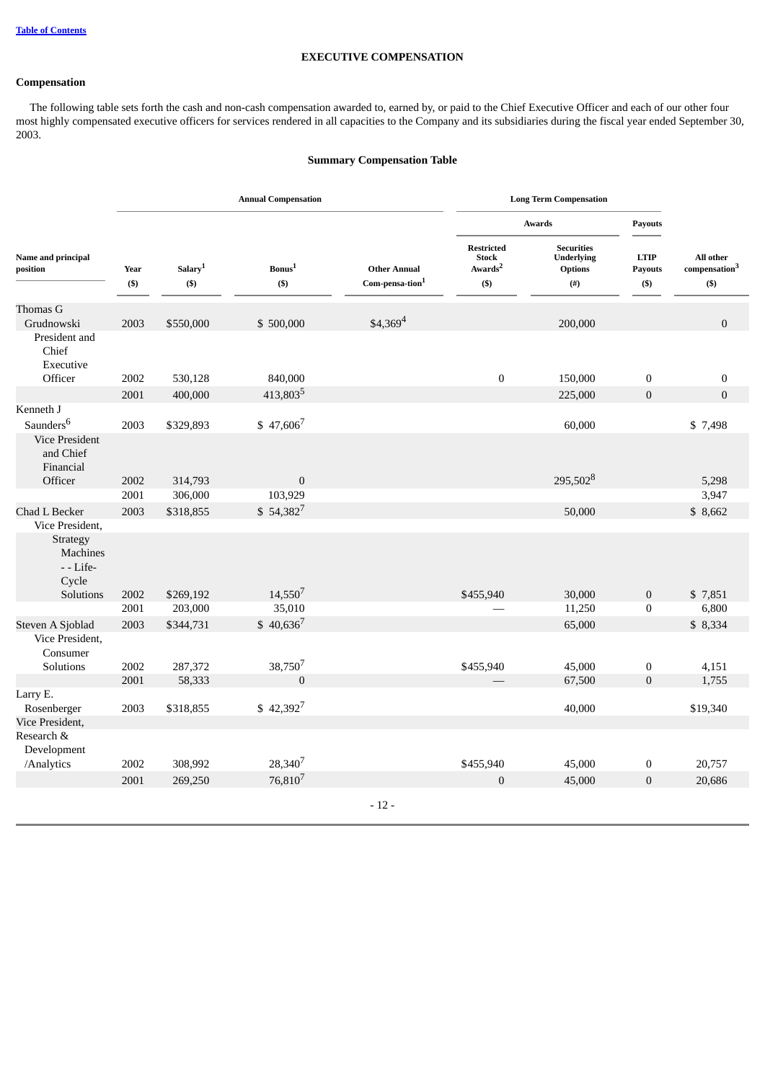## **EXECUTIVE COMPENSATION**

# <span id="page-15-0"></span>**Compensation**

 The following table sets forth the cash and non-cash compensation awarded to, earned by, or paid to the Chief Executive Officer and each of our other four most highly compensated executive officers for services rendered in all capacities to the Company and its subsidiaries during the fiscal year ended September 30, 2003.

# **Summary Compensation Table**

|                                                   |               |                                | <b>Annual Compensation</b>   |                                                    | <b>Long Term Compensation</b>                                       |                                                                       |                                         |                                                   |
|---------------------------------------------------|---------------|--------------------------------|------------------------------|----------------------------------------------------|---------------------------------------------------------------------|-----------------------------------------------------------------------|-----------------------------------------|---------------------------------------------------|
|                                                   |               |                                |                              |                                                    |                                                                     | Awards                                                                |                                         |                                                   |
| Name and principal<br>position                    | Year<br>$($)$ | Salary <sup>1</sup><br>$($ \$) | Bonus <sup>1</sup><br>$(\$)$ | <b>Other Annual</b><br>Com-pensa-tion <sup>1</sup> | <b>Restricted</b><br><b>Stock</b><br>Awards <sup>2</sup><br>$($ \$) | <b>Securities</b><br><b>Underlying</b><br><b>Options</b><br>$($ # $)$ | <b>LTIP</b><br><b>Payouts</b><br>$(\$)$ | All other<br>compensation <sup>3</sup><br>$($ \$) |
| Thomas G                                          |               |                                |                              |                                                    |                                                                     |                                                                       |                                         |                                                   |
| Grudnowski<br>President and<br>Chief<br>Executive | 2003          | \$550,000                      | \$500,000                    | $$4,369^4$                                         |                                                                     | 200,000                                                               |                                         | $\boldsymbol{0}$                                  |
| Officer                                           | 2002          | 530,128                        | 840,000                      |                                                    | $\boldsymbol{0}$                                                    | 150,000                                                               | $\bf{0}$                                | $\boldsymbol{0}$                                  |
|                                                   | 2001          | 400,000                        | 413,8035                     |                                                    |                                                                     | 225,000                                                               | $\boldsymbol{0}$                        | $\boldsymbol{0}$                                  |
| Kenneth J                                         |               |                                |                              |                                                    |                                                                     |                                                                       |                                         |                                                   |
| Saunders <sup>6</sup>                             | 2003          | \$329,893                      | $$47,606^7$                  |                                                    |                                                                     | 60,000                                                                |                                         | \$7,498                                           |
| <b>Vice President</b><br>and Chief<br>Financial   |               |                                |                              |                                                    |                                                                     |                                                                       |                                         |                                                   |
| Officer                                           | 2002          | 314,793                        | $\mathbf{0}$                 |                                                    |                                                                     | 295,502 <sup>8</sup>                                                  |                                         | 5,298                                             |
|                                                   | 2001          | 306,000                        | 103,929                      |                                                    |                                                                     |                                                                       |                                         | 3,947                                             |
| Chad L Becker                                     | 2003          | \$318,855                      | $$54,382^7$                  |                                                    |                                                                     | 50,000                                                                |                                         | \$8,662                                           |
| Vice President,                                   |               |                                |                              |                                                    |                                                                     |                                                                       |                                         |                                                   |
| Strategy<br><b>Machines</b><br>- - Life-<br>Cycle |               |                                |                              |                                                    |                                                                     |                                                                       |                                         |                                                   |
| Solutions                                         | 2002<br>2001  | \$269,192<br>203,000           | $14,550^7$<br>35,010         |                                                    | \$455,940                                                           | 30,000<br>11,250                                                      | $\boldsymbol{0}$<br>$\bf{0}$            | \$7,851<br>6,800                                  |
| Steven A Sjoblad                                  | 2003          | \$344,731                      | $$40,636^7$                  |                                                    |                                                                     | 65,000                                                                |                                         | \$8,334                                           |
| Vice President,<br>Consumer                       |               |                                |                              |                                                    |                                                                     |                                                                       |                                         |                                                   |
| <b>Solutions</b>                                  | 2002          | 287,372                        | 38,7507                      |                                                    | \$455,940                                                           | 45,000                                                                | $\bf{0}$                                | 4,151                                             |
|                                                   | 2001          | 58,333                         | $\mathbf{0}$                 |                                                    |                                                                     | 67,500                                                                | $\overline{0}$                          | 1,755                                             |
| Larry E.<br>Rosenberger<br>Vice President,        | 2003          | \$318,855                      | $$42,392^7$                  |                                                    |                                                                     | 40,000                                                                |                                         | \$19,340                                          |
| Research &                                        |               |                                |                              |                                                    |                                                                     |                                                                       |                                         |                                                   |
| Development<br>/Analytics                         | 2002          | 308,992                        | 28,340 <sup>7</sup>          |                                                    | \$455,940                                                           | 45,000                                                                | $\boldsymbol{0}$                        | 20,757                                            |
|                                                   | 2001          | 269,250                        | 76,8107                      |                                                    | $\mathbf{0}$                                                        | 45,000                                                                | $\overline{0}$                          | 20,686                                            |
|                                                   |               |                                |                              |                                                    |                                                                     |                                                                       |                                         |                                                   |
|                                                   |               |                                |                              | $-12-$                                             |                                                                     |                                                                       |                                         |                                                   |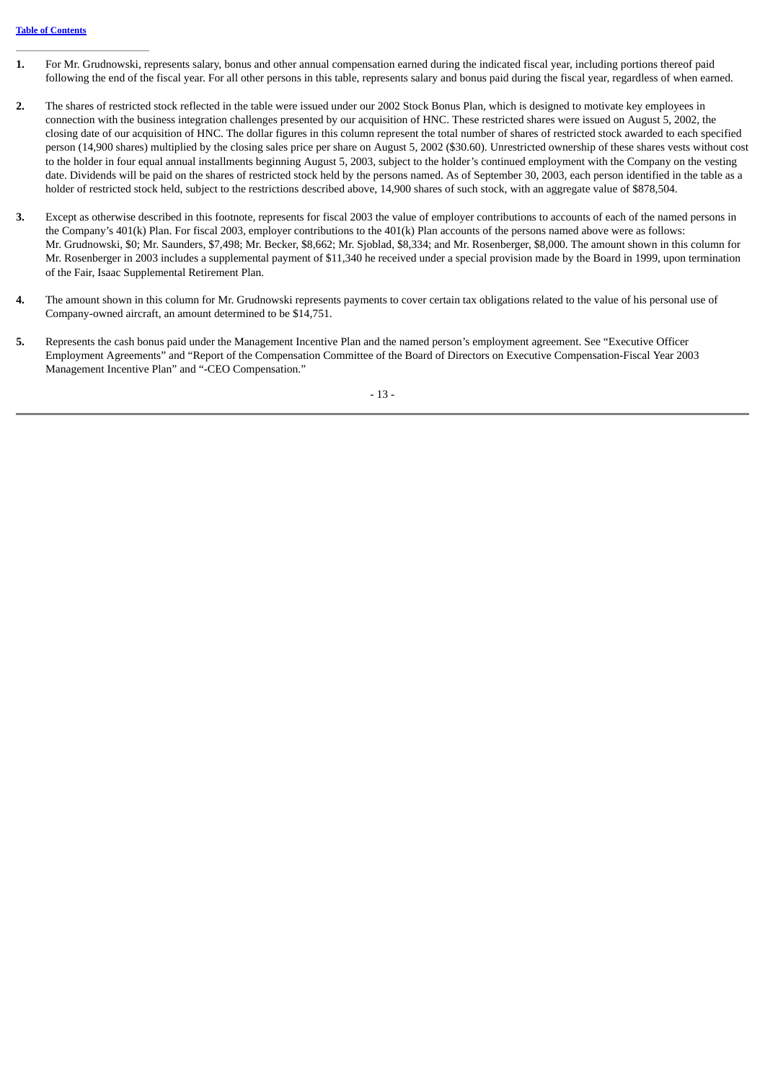- **1.** For Mr. Grudnowski, represents salary, bonus and other annual compensation earned during the indicated fiscal year, including portions thereof paid following the end of the fiscal year. For all other persons in this table, represents salary and bonus paid during the fiscal year, regardless of when earned.
- **2.** The shares of restricted stock reflected in the table were issued under our 2002 Stock Bonus Plan, which is designed to motivate key employees in connection with the business integration challenges presented by our acquisition of HNC. These restricted shares were issued on August 5, 2002, the closing date of our acquisition of HNC. The dollar figures in this column represent the total number of shares of restricted stock awarded to each specified person (14,900 shares) multiplied by the closing sales price per share on August 5, 2002 (\$30.60). Unrestricted ownership of these shares vests without cost to the holder in four equal annual installments beginning August 5, 2003, subject to the holder's continued employment with the Company on the vesting date. Dividends will be paid on the shares of restricted stock held by the persons named. As of September 30, 2003, each person identified in the table as a holder of restricted stock held, subject to the restrictions described above, 14,900 shares of such stock, with an aggregate value of \$878,504.
- **3.** Except as otherwise described in this footnote, represents for fiscal 2003 the value of employer contributions to accounts of each of the named persons in the Company's 401(k) Plan. For fiscal 2003, employer contributions to the 401(k) Plan accounts of the persons named above were as follows: Mr. Grudnowski, \$0; Mr. Saunders, \$7,498; Mr. Becker, \$8,662; Mr. Sjoblad, \$8,334; and Mr. Rosenberger, \$8,000. The amount shown in this column for Mr. Rosenberger in 2003 includes a supplemental payment of \$11,340 he received under a special provision made by the Board in 1999, upon termination of the Fair, Isaac Supplemental Retirement Plan.
- **4.** The amount shown in this column for Mr. Grudnowski represents payments to cover certain tax obligations related to the value of his personal use of Company-owned aircraft, an amount determined to be \$14,751.
- **5.** Represents the cash bonus paid under the Management Incentive Plan and the named person's employment agreement. See "Executive Officer Employment Agreements" and "Report of the Compensation Committee of the Board of Directors on Executive Compensation-Fiscal Year 2003 Management Incentive Plan" and "-CEO Compensation."

- 13 -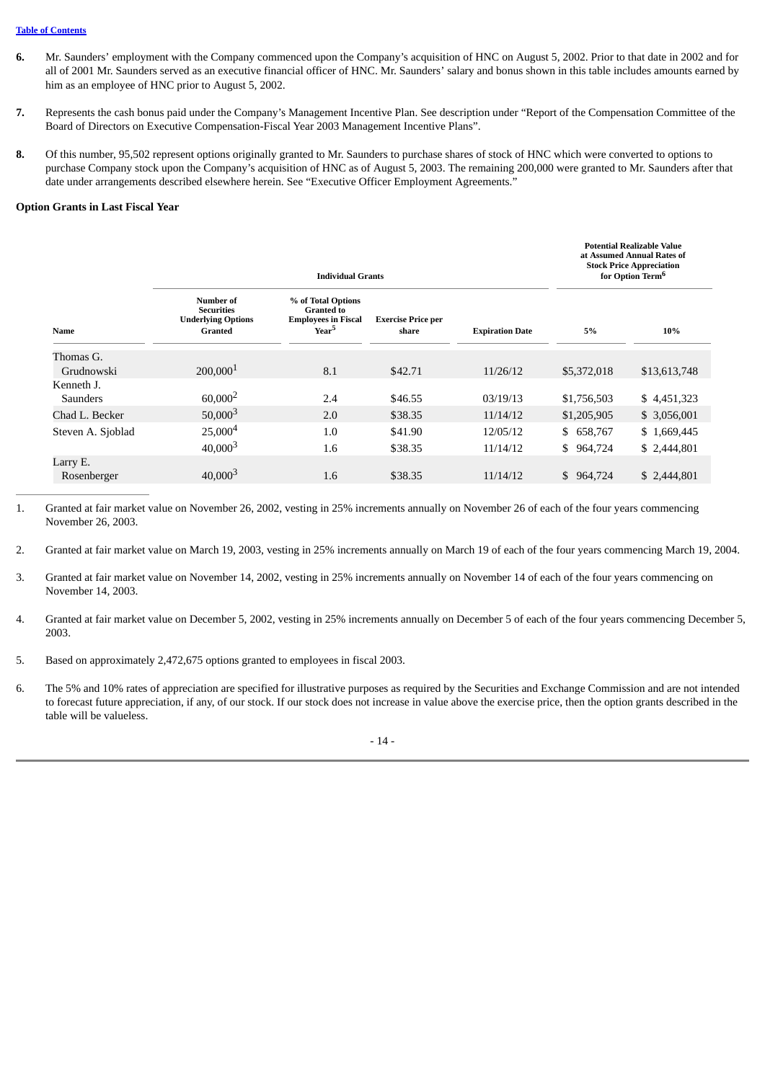#### **Table of [Contents](#page-4-0)**

- **6.** Mr. Saunders' employment with the Company commenced upon the Company's acquisition of HNC on August 5, 2002. Prior to that date in 2002 and for all of 2001 Mr. Saunders served as an executive financial officer of HNC. Mr. Saunders' salary and bonus shown in this table includes amounts earned by him as an employee of HNC prior to August 5, 2002.
- **7.** Represents the cash bonus paid under the Company's Management Incentive Plan. See description under "Report of the Compensation Committee of the Board of Directors on Executive Compensation-Fiscal Year 2003 Management Incentive Plans".
- **8.** Of this number, 95,502 represent options originally granted to Mr. Saunders to purchase shares of stock of HNC which were converted to options to purchase Company stock upon the Company's acquisition of HNC as of August 5, 2003. The remaining 200,000 were granted to Mr. Saunders after that date under arrangements described elsewhere herein. See "Executive Officer Employment Agreements."

#### **Option Grants in Last Fiscal Year**

| <b>Individual Grants</b>      |                                                                        |                                                                                            |                                    |                        |             | <b>Potential Realizable Value</b><br>at Assumed Annual Rates of<br><b>Stock Price Appreciation</b><br>for Option Term <sup>6</sup> |  |
|-------------------------------|------------------------------------------------------------------------|--------------------------------------------------------------------------------------------|------------------------------------|------------------------|-------------|------------------------------------------------------------------------------------------------------------------------------------|--|
| Name                          | Number of<br><b>Securities</b><br><b>Underlying Options</b><br>Granted | % of Total Options<br><b>Granted to</b><br><b>Employees in Fiscal</b><br>Year <sup>5</sup> | <b>Exercise Price per</b><br>share | <b>Expiration Date</b> | 5%          | 10%                                                                                                                                |  |
| Thomas G.<br>Grudnowski       | 200,000 <sup>1</sup>                                                   | 8.1                                                                                        | \$42.71                            | 11/26/12               | \$5,372,018 | \$13,613,748                                                                                                                       |  |
| Kenneth J.<br><b>Saunders</b> | $60,000^2$                                                             | 2.4                                                                                        | \$46.55                            | 03/19/13               | \$1,756,503 | \$4,451,323                                                                                                                        |  |
| Chad L. Becker                | $50,000^{3}$                                                           | 2.0                                                                                        | \$38.35                            | 11/14/12               | \$1,205,905 | \$ 3,056,001                                                                                                                       |  |
| Steven A. Sjoblad             | 25,000 <sup>4</sup>                                                    | 1.0                                                                                        | \$41.90                            | 12/05/12               | \$658,767   | \$1,669,445                                                                                                                        |  |
|                               | $40,000^{3}$                                                           | 1.6                                                                                        | \$38.35                            | 11/14/12               | \$964,724   | \$2,444,801                                                                                                                        |  |
| Larry E.<br>Rosenberger       | $40,000^{3}$                                                           | 1.6                                                                                        | \$38.35                            | 11/14/12               | \$964,724   | \$2,444,801                                                                                                                        |  |

1. Granted at fair market value on November 26, 2002, vesting in 25% increments annually on November 26 of each of the four years commencing November 26, 2003.

- 2. Granted at fair market value on March 19, 2003, vesting in 25% increments annually on March 19 of each of the four years commencing March 19, 2004.
- 3. Granted at fair market value on November 14, 2002, vesting in 25% increments annually on November 14 of each of the four years commencing on November 14, 2003.
- 4. Granted at fair market value on December 5, 2002, vesting in 25% increments annually on December 5 of each of the four years commencing December 5, 2003.
- 5. Based on approximately 2,472,675 options granted to employees in fiscal 2003.
- 6. The 5% and 10% rates of appreciation are specified for illustrative purposes as required by the Securities and Exchange Commission and are not intended to forecast future appreciation, if any, of our stock. If our stock does not increase in value above the exercise price, then the option grants described in the table will be valueless.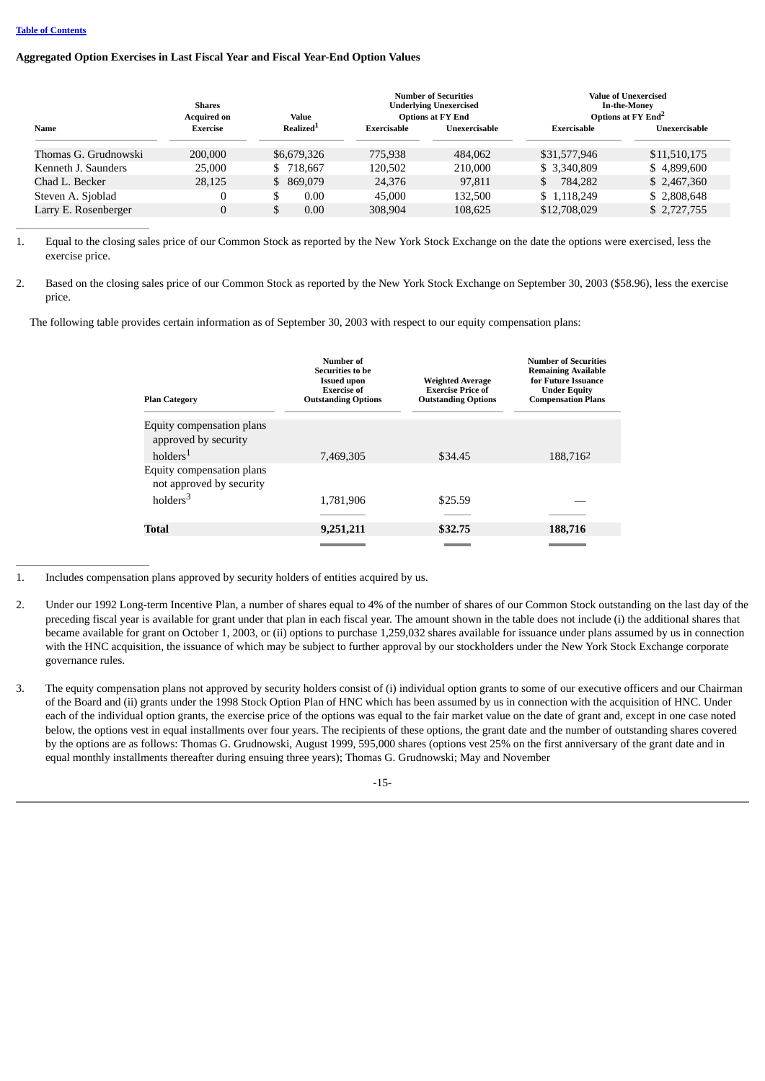## **Aggregated Option Exercises in Last Fiscal Year and Fiscal Year-End Option Values**

|                      | <b>Shares</b><br><b>Acquired on</b> | Value                 | <b>Number of Securities</b><br><b>Underlying Unexercised</b><br><b>Options at FY End</b> |               | Value of Unexercised<br><b>In-the-Money</b><br>Options at FY End <sup>2</sup> |               |
|----------------------|-------------------------------------|-----------------------|------------------------------------------------------------------------------------------|---------------|-------------------------------------------------------------------------------|---------------|
| Name                 | <b>Exercise</b>                     | Realized <sup>1</sup> | Exercisable                                                                              | Unexercisable | Exercisable                                                                   | Unexercisable |
| Thomas G. Grudnowski | 200,000                             | \$6,679,326           | 775.938                                                                                  | 484,062       | \$31,577,946                                                                  | \$11,510,175  |
| Kenneth J. Saunders  | 25,000                              | \$718,667             | 120.502                                                                                  | 210,000       | \$ 3,340,809                                                                  | \$4,899,600   |
| Chad L. Becker       | 28,125                              | 869.079<br>S.         | 24,376                                                                                   | 97,811        | 784.282                                                                       | \$2,467,360   |
| Steven A. Sjoblad    |                                     | 0.00<br>кD            | 45,000                                                                                   | 132,500       | \$1.118.249                                                                   | \$2,808,648   |
| Larry E. Rosenberger |                                     | \$<br>0.00            | 308,904                                                                                  | 108,625       | \$12,708,029                                                                  | \$2,727,755   |

1. Equal to the closing sales price of our Common Stock as reported by the New York Stock Exchange on the date the options were exercised, less the exercise price.

2. Based on the closing sales price of our Common Stock as reported by the New York Stock Exchange on September 30, 2003 (\$58.96), less the exercise price.

The following table provides certain information as of September 30, 2003 with respect to our equity compensation plans:

| <b>Plan Category</b>                                  | Number of<br>Securities to be<br><b>Issued upon</b><br><b>Exercise of</b><br><b>Outstanding Options</b> | <b>Weighted Average</b><br><b>Exercise Price of</b><br><b>Outstanding Options</b> | <b>Number of Securities</b><br><b>Remaining Available</b><br>for Future Issuance<br><b>Under Equity</b><br><b>Compensation Plans</b> |
|-------------------------------------------------------|---------------------------------------------------------------------------------------------------------|-----------------------------------------------------------------------------------|--------------------------------------------------------------------------------------------------------------------------------------|
| Equity compensation plans<br>approved by security     |                                                                                                         |                                                                                   |                                                                                                                                      |
| $h$ olders $1$                                        | 7,469,305                                                                                               | \$34.45                                                                           | 188,7162                                                                                                                             |
| Equity compensation plans<br>not approved by security |                                                                                                         |                                                                                   |                                                                                                                                      |
| holders <sup>3</sup>                                  | 1.781.906                                                                                               | \$25.59                                                                           |                                                                                                                                      |
|                                                       |                                                                                                         |                                                                                   |                                                                                                                                      |
| Total                                                 | 9,251,211                                                                                               | \$32.75                                                                           | 188,716                                                                                                                              |
|                                                       |                                                                                                         |                                                                                   |                                                                                                                                      |

1. Includes compensation plans approved by security holders of entities acquired by us.

- 2. Under our 1992 Long-term Incentive Plan, a number of shares equal to 4% of the number of shares of our Common Stock outstanding on the last day of the preceding fiscal year is available for grant under that plan in each fiscal year. The amount shown in the table does not include (i) the additional shares that became available for grant on October 1, 2003, or (ii) options to purchase 1,259,032 shares available for issuance under plans assumed by us in connection with the HNC acquisition, the issuance of which may be subject to further approval by our stockholders under the New York Stock Exchange corporate governance rules.
- 3. The equity compensation plans not approved by security holders consist of (i) individual option grants to some of our executive officers and our Chairman of the Board and (ii) grants under the 1998 Stock Option Plan of HNC which has been assumed by us in connection with the acquisition of HNC. Under each of the individual option grants, the exercise price of the options was equal to the fair market value on the date of grant and, except in one case noted below, the options vest in equal installments over four years. The recipients of these options, the grant date and the number of outstanding shares covered by the options are as follows: Thomas G. Grudnowski, August 1999, 595,000 shares (options vest 25% on the first anniversary of the grant date and in equal monthly installments thereafter during ensuing three years); Thomas G. Grudnowski; May and November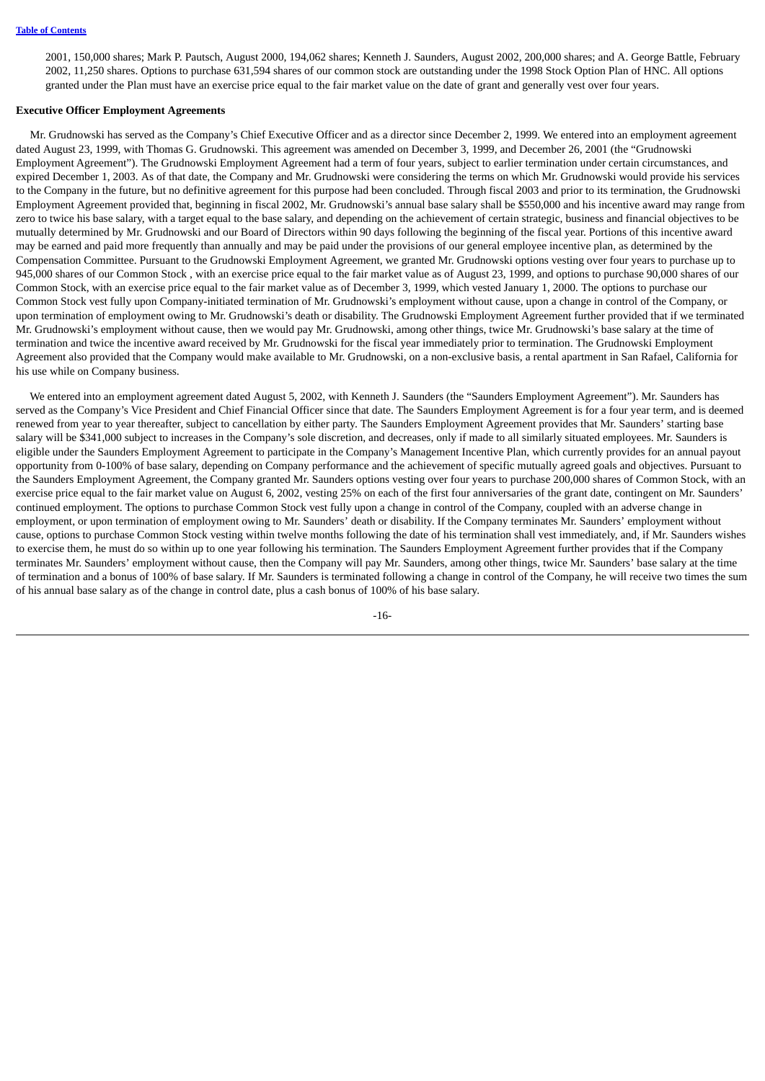2001, 150,000 shares; Mark P. Pautsch, August 2000, 194,062 shares; Kenneth J. Saunders, August 2002, 200,000 shares; and A. George Battle, February 2002, 11,250 shares. Options to purchase 631,594 shares of our common stock are outstanding under the 1998 Stock Option Plan of HNC. All options granted under the Plan must have an exercise price equal to the fair market value on the date of grant and generally vest over four years.

#### **Executive Officer Employment Agreements**

 Mr. Grudnowski has served as the Company's Chief Executive Officer and as a director since December 2, 1999. We entered into an employment agreement dated August 23, 1999, with Thomas G. Grudnowski. This agreement was amended on December 3, 1999, and December 26, 2001 (the "Grudnowski Employment Agreement"). The Grudnowski Employment Agreement had a term of four years, subject to earlier termination under certain circumstances, and expired December 1, 2003. As of that date, the Company and Mr. Grudnowski were considering the terms on which Mr. Grudnowski would provide his services to the Company in the future, but no definitive agreement for this purpose had been concluded. Through fiscal 2003 and prior to its termination, the Grudnowski Employment Agreement provided that, beginning in fiscal 2002, Mr. Grudnowski's annual base salary shall be \$550,000 and his incentive award may range from zero to twice his base salary, with a target equal to the base salary, and depending on the achievement of certain strategic, business and financial objectives to be mutually determined by Mr. Grudnowski and our Board of Directors within 90 days following the beginning of the fiscal year. Portions of this incentive award may be earned and paid more frequently than annually and may be paid under the provisions of our general employee incentive plan, as determined by the Compensation Committee. Pursuant to the Grudnowski Employment Agreement, we granted Mr. Grudnowski options vesting over four years to purchase up to 945,000 shares of our Common Stock , with an exercise price equal to the fair market value as of August 23, 1999, and options to purchase 90,000 shares of our Common Stock, with an exercise price equal to the fair market value as of December 3, 1999, which vested January 1, 2000. The options to purchase our Common Stock vest fully upon Company-initiated termination of Mr. Grudnowski's employment without cause, upon a change in control of the Company, or upon termination of employment owing to Mr. Grudnowski's death or disability. The Grudnowski Employment Agreement further provided that if we terminated Mr. Grudnowski's employment without cause, then we would pay Mr. Grudnowski, among other things, twice Mr. Grudnowski's base salary at the time of termination and twice the incentive award received by Mr. Grudnowski for the fiscal year immediately prior to termination. The Grudnowski Employment Agreement also provided that the Company would make available to Mr. Grudnowski, on a non-exclusive basis, a rental apartment in San Rafael, California for his use while on Company business.

 We entered into an employment agreement dated August 5, 2002, with Kenneth J. Saunders (the "Saunders Employment Agreement"). Mr. Saunders has served as the Company's Vice President and Chief Financial Officer since that date. The Saunders Employment Agreement is for a four year term, and is deemed renewed from year to year thereafter, subject to cancellation by either party. The Saunders Employment Agreement provides that Mr. Saunders' starting base salary will be \$341,000 subject to increases in the Company's sole discretion, and decreases, only if made to all similarly situated employees. Mr. Saunders is eligible under the Saunders Employment Agreement to participate in the Company's Management Incentive Plan, which currently provides for an annual payout opportunity from 0-100% of base salary, depending on Company performance and the achievement of specific mutually agreed goals and objectives. Pursuant to the Saunders Employment Agreement, the Company granted Mr. Saunders options vesting over four years to purchase 200,000 shares of Common Stock, with an exercise price equal to the fair market value on August 6, 2002, vesting 25% on each of the first four anniversaries of the grant date, contingent on Mr. Saunders' continued employment. The options to purchase Common Stock vest fully upon a change in control of the Company, coupled with an adverse change in employment, or upon termination of employment owing to Mr. Saunders' death or disability. If the Company terminates Mr. Saunders' employment without cause, options to purchase Common Stock vesting within twelve months following the date of his termination shall vest immediately, and, if Mr. Saunders wishes to exercise them, he must do so within up to one year following his termination. The Saunders Employment Agreement further provides that if the Company terminates Mr. Saunders' employment without cause, then the Company will pay Mr. Saunders, among other things, twice Mr. Saunders' base salary at the time of termination and a bonus of 100% of base salary. If Mr. Saunders is terminated following a change in control of the Company, he will receive two times the sum of his annual base salary as of the change in control date, plus a cash bonus of 100% of his base salary.

-16-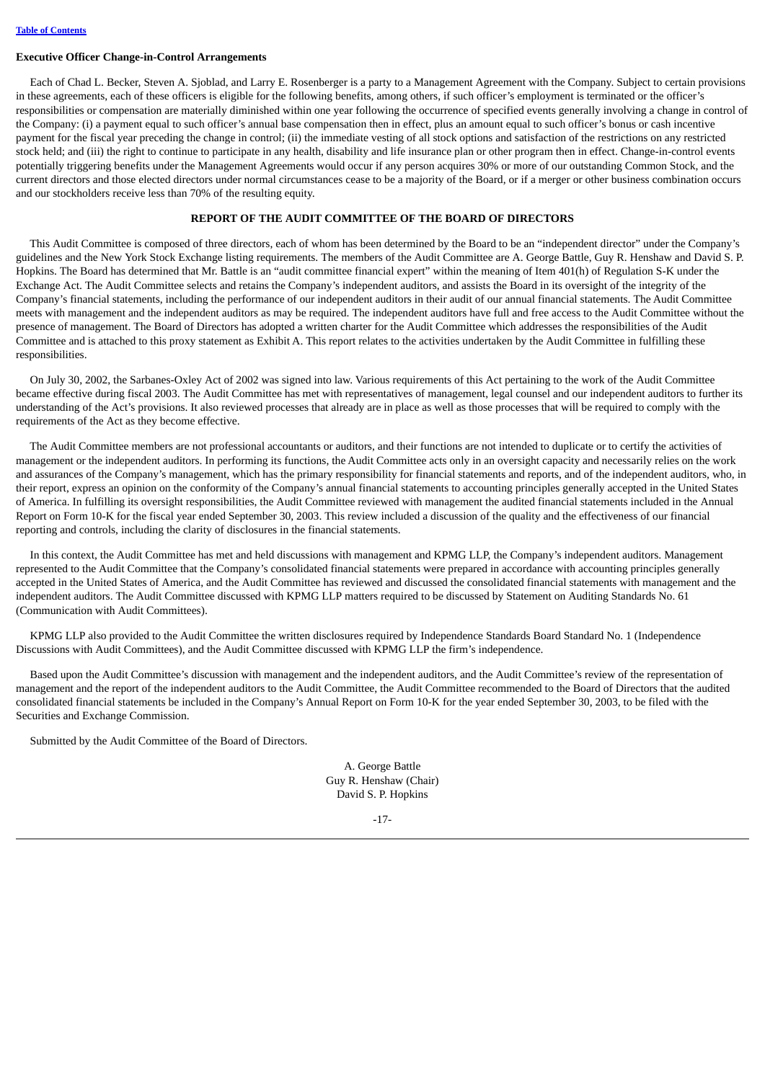#### **Executive Officer Change-in-Control Arrangements**

 Each of Chad L. Becker, Steven A. Sjoblad, and Larry E. Rosenberger is a party to a Management Agreement with the Company. Subject to certain provisions in these agreements, each of these officers is eligible for the following benefits, among others, if such officer's employment is terminated or the officer's responsibilities or compensation are materially diminished within one year following the occurrence of specified events generally involving a change in control of the Company: (i) a payment equal to such officer's annual base compensation then in effect, plus an amount equal to such officer's bonus or cash incentive payment for the fiscal year preceding the change in control; (ii) the immediate vesting of all stock options and satisfaction of the restrictions on any restricted stock held; and (iii) the right to continue to participate in any health, disability and life insurance plan or other program then in effect. Change-in-control events potentially triggering benefits under the Management Agreements would occur if any person acquires 30% or more of our outstanding Common Stock, and the current directors and those elected directors under normal circumstances cease to be a majority of the Board, or if a merger or other business combination occurs and our stockholders receive less than 70% of the resulting equity.

## **REPORT OF THE AUDIT COMMITTEE OF THE BOARD OF DIRECTORS**

<span id="page-20-0"></span> This Audit Committee is composed of three directors, each of whom has been determined by the Board to be an "independent director" under the Company's guidelines and the New York Stock Exchange listing requirements. The members of the Audit Committee are A. George Battle, Guy R. Henshaw and David S. P. Hopkins. The Board has determined that Mr. Battle is an "audit committee financial expert" within the meaning of Item 401(h) of Regulation S-K under the Exchange Act. The Audit Committee selects and retains the Company's independent auditors, and assists the Board in its oversight of the integrity of the Company's financial statements, including the performance of our independent auditors in their audit of our annual financial statements. The Audit Committee meets with management and the independent auditors as may be required. The independent auditors have full and free access to the Audit Committee without the presence of management. The Board of Directors has adopted a written charter for the Audit Committee which addresses the responsibilities of the Audit Committee and is attached to this proxy statement as Exhibit A. This report relates to the activities undertaken by the Audit Committee in fulfilling these responsibilities.

 On July 30, 2002, the Sarbanes-Oxley Act of 2002 was signed into law. Various requirements of this Act pertaining to the work of the Audit Committee became effective during fiscal 2003. The Audit Committee has met with representatives of management, legal counsel and our independent auditors to further its understanding of the Act's provisions. It also reviewed processes that already are in place as well as those processes that will be required to comply with the requirements of the Act as they become effective.

 The Audit Committee members are not professional accountants or auditors, and their functions are not intended to duplicate or to certify the activities of management or the independent auditors. In performing its functions, the Audit Committee acts only in an oversight capacity and necessarily relies on the work and assurances of the Company's management, which has the primary responsibility for financial statements and reports, and of the independent auditors, who, in their report, express an opinion on the conformity of the Company's annual financial statements to accounting principles generally accepted in the United States of America. In fulfilling its oversight responsibilities, the Audit Committee reviewed with management the audited financial statements included in the Annual Report on Form 10-K for the fiscal year ended September 30, 2003. This review included a discussion of the quality and the effectiveness of our financial reporting and controls, including the clarity of disclosures in the financial statements.

 In this context, the Audit Committee has met and held discussions with management and KPMG LLP, the Company's independent auditors. Management represented to the Audit Committee that the Company's consolidated financial statements were prepared in accordance with accounting principles generally accepted in the United States of America, and the Audit Committee has reviewed and discussed the consolidated financial statements with management and the independent auditors. The Audit Committee discussed with KPMG LLP matters required to be discussed by Statement on Auditing Standards No. 61 (Communication with Audit Committees).

 KPMG LLP also provided to the Audit Committee the written disclosures required by Independence Standards Board Standard No. 1 (Independence Discussions with Audit Committees), and the Audit Committee discussed with KPMG LLP the firm's independence.

 Based upon the Audit Committee's discussion with management and the independent auditors, and the Audit Committee's review of the representation of management and the report of the independent auditors to the Audit Committee, the Audit Committee recommended to the Board of Directors that the audited consolidated financial statements be included in the Company's Annual Report on Form 10-K for the year ended September 30, 2003, to be filed with the Securities and Exchange Commission.

Submitted by the Audit Committee of the Board of Directors.

A. George Battle Guy R. Henshaw (Chair) David S. P. Hopkins

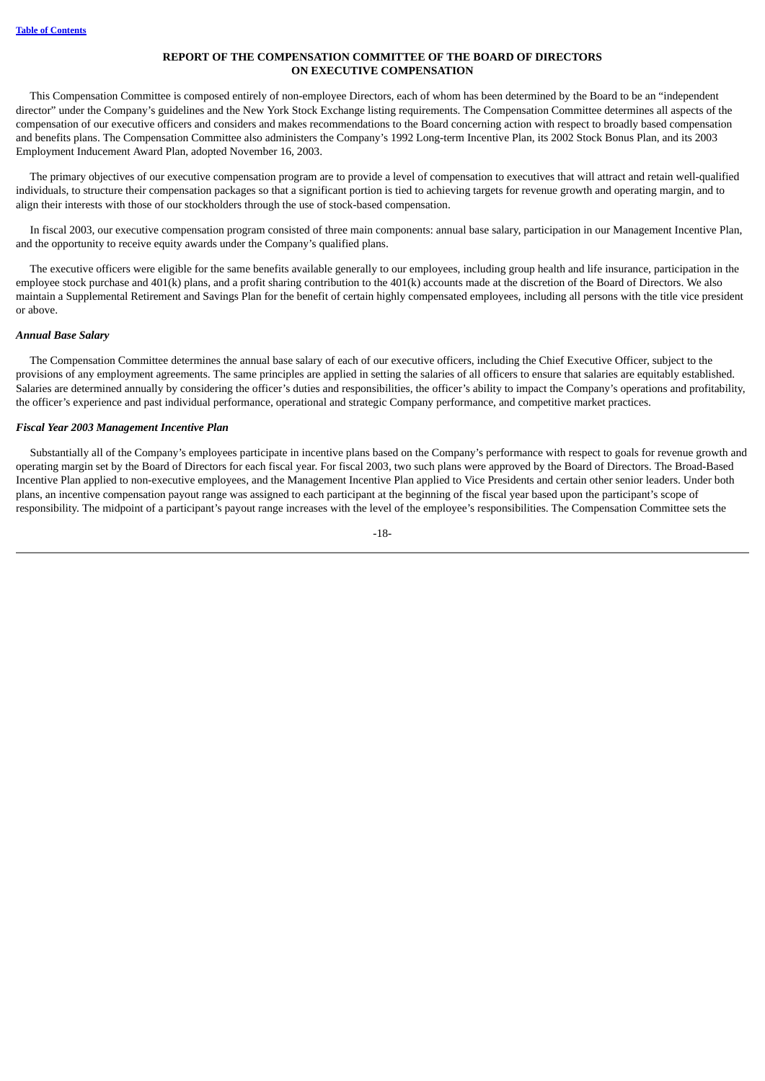## **REPORT OF THE COMPENSATION COMMITTEE OF THE BOARD OF DIRECTORS ON EXECUTIVE COMPENSATION**

<span id="page-21-0"></span> This Compensation Committee is composed entirely of non-employee Directors, each of whom has been determined by the Board to be an "independent director" under the Company's guidelines and the New York Stock Exchange listing requirements. The Compensation Committee determines all aspects of the compensation of our executive officers and considers and makes recommendations to the Board concerning action with respect to broadly based compensation and benefits plans. The Compensation Committee also administers the Company's 1992 Long-term Incentive Plan, its 2002 Stock Bonus Plan, and its 2003 Employment Inducement Award Plan, adopted November 16, 2003.

 The primary objectives of our executive compensation program are to provide a level of compensation to executives that will attract and retain well-qualified individuals, to structure their compensation packages so that a significant portion is tied to achieving targets for revenue growth and operating margin, and to align their interests with those of our stockholders through the use of stock-based compensation.

 In fiscal 2003, our executive compensation program consisted of three main components: annual base salary, participation in our Management Incentive Plan, and the opportunity to receive equity awards under the Company's qualified plans.

 The executive officers were eligible for the same benefits available generally to our employees, including group health and life insurance, participation in the employee stock purchase and 401(k) plans, and a profit sharing contribution to the 401(k) accounts made at the discretion of the Board of Directors. We also maintain a Supplemental Retirement and Savings Plan for the benefit of certain highly compensated employees, including all persons with the title vice president or above.

#### *Annual Base Salary*

 The Compensation Committee determines the annual base salary of each of our executive officers, including the Chief Executive Officer, subject to the provisions of any employment agreements. The same principles are applied in setting the salaries of all officers to ensure that salaries are equitably established. Salaries are determined annually by considering the officer's duties and responsibilities, the officer's ability to impact the Company's operations and profitability, the officer's experience and past individual performance, operational and strategic Company performance, and competitive market practices.

## *Fiscal Year 2003 Management Incentive Plan*

 Substantially all of the Company's employees participate in incentive plans based on the Company's performance with respect to goals for revenue growth and operating margin set by the Board of Directors for each fiscal year. For fiscal 2003, two such plans were approved by the Board of Directors. The Broad-Based Incentive Plan applied to non-executive employees, and the Management Incentive Plan applied to Vice Presidents and certain other senior leaders. Under both plans, an incentive compensation payout range was assigned to each participant at the beginning of the fiscal year based upon the participant's scope of responsibility. The midpoint of a participant's payout range increases with the level of the employee's responsibilities. The Compensation Committee sets the

-18-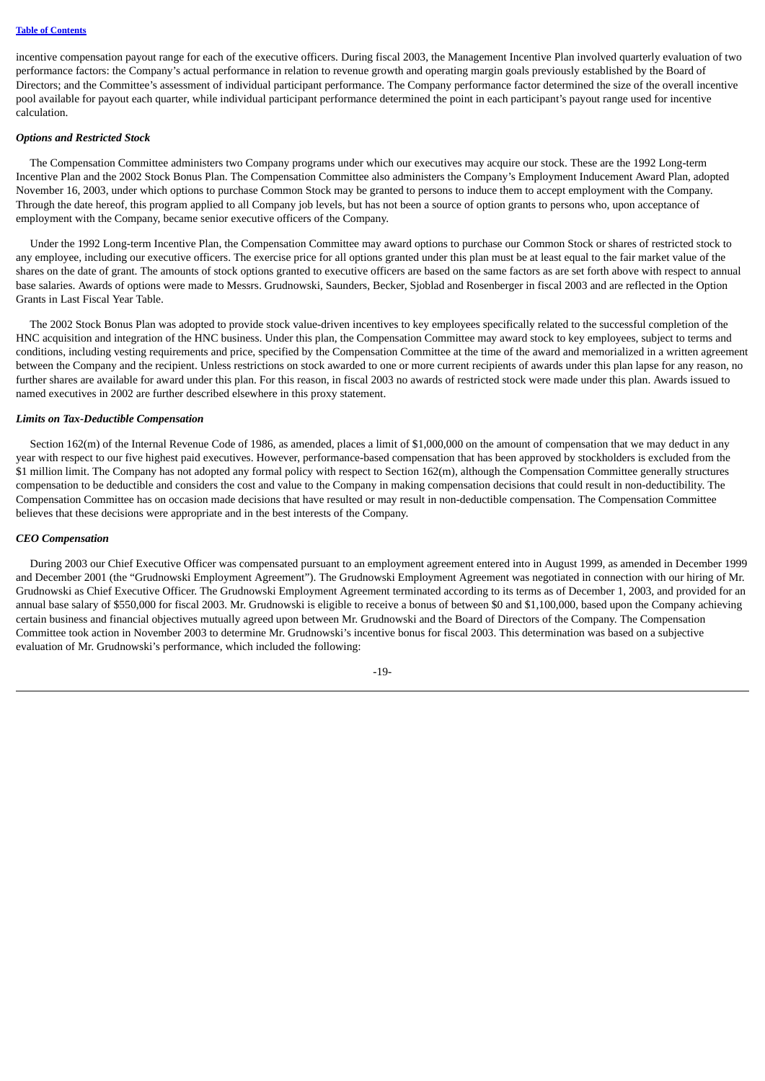incentive compensation payout range for each of the executive officers. During fiscal 2003, the Management Incentive Plan involved quarterly evaluation of two performance factors: the Company's actual performance in relation to revenue growth and operating margin goals previously established by the Board of Directors; and the Committee's assessment of individual participant performance. The Company performance factor determined the size of the overall incentive pool available for payout each quarter, while individual participant performance determined the point in each participant's payout range used for incentive calculation.

## *Options and Restricted Stock*

 The Compensation Committee administers two Company programs under which our executives may acquire our stock. These are the 1992 Long-term Incentive Plan and the 2002 Stock Bonus Plan. The Compensation Committee also administers the Company's Employment Inducement Award Plan, adopted November 16, 2003, under which options to purchase Common Stock may be granted to persons to induce them to accept employment with the Company. Through the date hereof, this program applied to all Company job levels, but has not been a source of option grants to persons who, upon acceptance of employment with the Company, became senior executive officers of the Company.

 Under the 1992 Long-term Incentive Plan, the Compensation Committee may award options to purchase our Common Stock or shares of restricted stock to any employee, including our executive officers. The exercise price for all options granted under this plan must be at least equal to the fair market value of the shares on the date of grant. The amounts of stock options granted to executive officers are based on the same factors as are set forth above with respect to annual base salaries. Awards of options were made to Messrs. Grudnowski, Saunders, Becker, Sjoblad and Rosenberger in fiscal 2003 and are reflected in the Option Grants in Last Fiscal Year Table.

 The 2002 Stock Bonus Plan was adopted to provide stock value-driven incentives to key employees specifically related to the successful completion of the HNC acquisition and integration of the HNC business. Under this plan, the Compensation Committee may award stock to key employees, subject to terms and conditions, including vesting requirements and price, specified by the Compensation Committee at the time of the award and memorialized in a written agreement between the Company and the recipient. Unless restrictions on stock awarded to one or more current recipients of awards under this plan lapse for any reason, no further shares are available for award under this plan. For this reason, in fiscal 2003 no awards of restricted stock were made under this plan. Awards issued to named executives in 2002 are further described elsewhere in this proxy statement.

## *Limits on Tax-Deductible Compensation*

Section 162(m) of the Internal Revenue Code of 1986, as amended, places a limit of \$1,000,000 on the amount of compensation that we may deduct in any year with respect to our five highest paid executives. However, performance-based compensation that has been approved by stockholders is excluded from the \$1 million limit. The Company has not adopted any formal policy with respect to Section 162(m), although the Compensation Committee generally structures compensation to be deductible and considers the cost and value to the Company in making compensation decisions that could result in non-deductibility. The Compensation Committee has on occasion made decisions that have resulted or may result in non-deductible compensation. The Compensation Committee believes that these decisions were appropriate and in the best interests of the Company.

#### *CEO Compensation*

 During 2003 our Chief Executive Officer was compensated pursuant to an employment agreement entered into in August 1999, as amended in December 1999 and December 2001 (the "Grudnowski Employment Agreement"). The Grudnowski Employment Agreement was negotiated in connection with our hiring of Mr. Grudnowski as Chief Executive Officer. The Grudnowski Employment Agreement terminated according to its terms as of December 1, 2003, and provided for an annual base salary of \$550,000 for fiscal 2003. Mr. Grudnowski is eligible to receive a bonus of between \$0 and \$1,100,000, based upon the Company achieving certain business and financial objectives mutually agreed upon between Mr. Grudnowski and the Board of Directors of the Company. The Compensation Committee took action in November 2003 to determine Mr. Grudnowski's incentive bonus for fiscal 2003. This determination was based on a subjective evaluation of Mr. Grudnowski's performance, which included the following:

-19-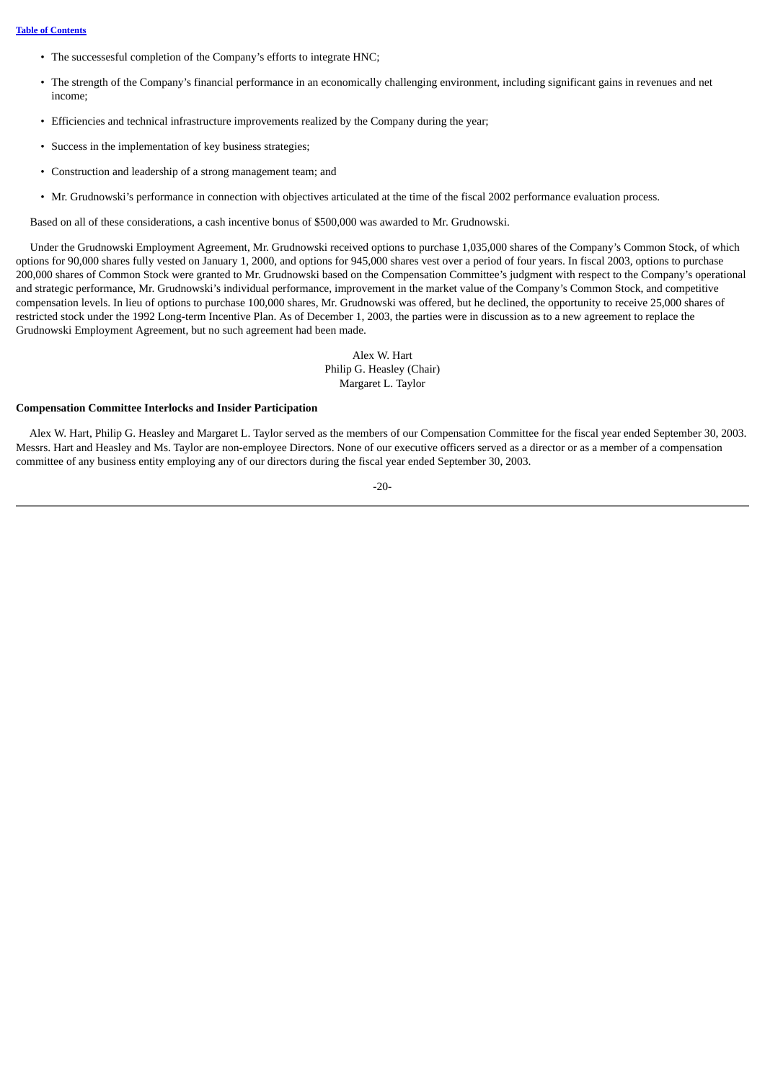- The successesful completion of the Company's efforts to integrate HNC;
- The strength of the Company's financial performance in an economically challenging environment, including significant gains in revenues and net income;
- Efficiencies and technical infrastructure improvements realized by the Company during the year;
- Success in the implementation of key business strategies;
- Construction and leadership of a strong management team; and
- Mr. Grudnowski's performance in connection with objectives articulated at the time of the fiscal 2002 performance evaluation process.

Based on all of these considerations, a cash incentive bonus of \$500,000 was awarded to Mr. Grudnowski.

 Under the Grudnowski Employment Agreement, Mr. Grudnowski received options to purchase 1,035,000 shares of the Company's Common Stock, of which options for 90,000 shares fully vested on January 1, 2000, and options for 945,000 shares vest over a period of four years. In fiscal 2003, options to purchase 200,000 shares of Common Stock were granted to Mr. Grudnowski based on the Compensation Committee's judgment with respect to the Company's operational and strategic performance, Mr. Grudnowski's individual performance, improvement in the market value of the Company's Common Stock, and competitive compensation levels. In lieu of options to purchase 100,000 shares, Mr. Grudnowski was offered, but he declined, the opportunity to receive 25,000 shares of restricted stock under the 1992 Long-term Incentive Plan. As of December 1, 2003, the parties were in discussion as to a new agreement to replace the Grudnowski Employment Agreement, but no such agreement had been made.

> Alex W. Hart Philip G. Heasley (Chair) Margaret L. Taylor

#### **Compensation Committee Interlocks and Insider Participation**

 Alex W. Hart, Philip G. Heasley and Margaret L. Taylor served as the members of our Compensation Committee for the fiscal year ended September 30, 2003. Messrs. Hart and Heasley and Ms. Taylor are non-employee Directors. None of our executive officers served as a director or as a member of a compensation committee of any business entity employing any of our directors during the fiscal year ended September 30, 2003.

$$
-20-
$$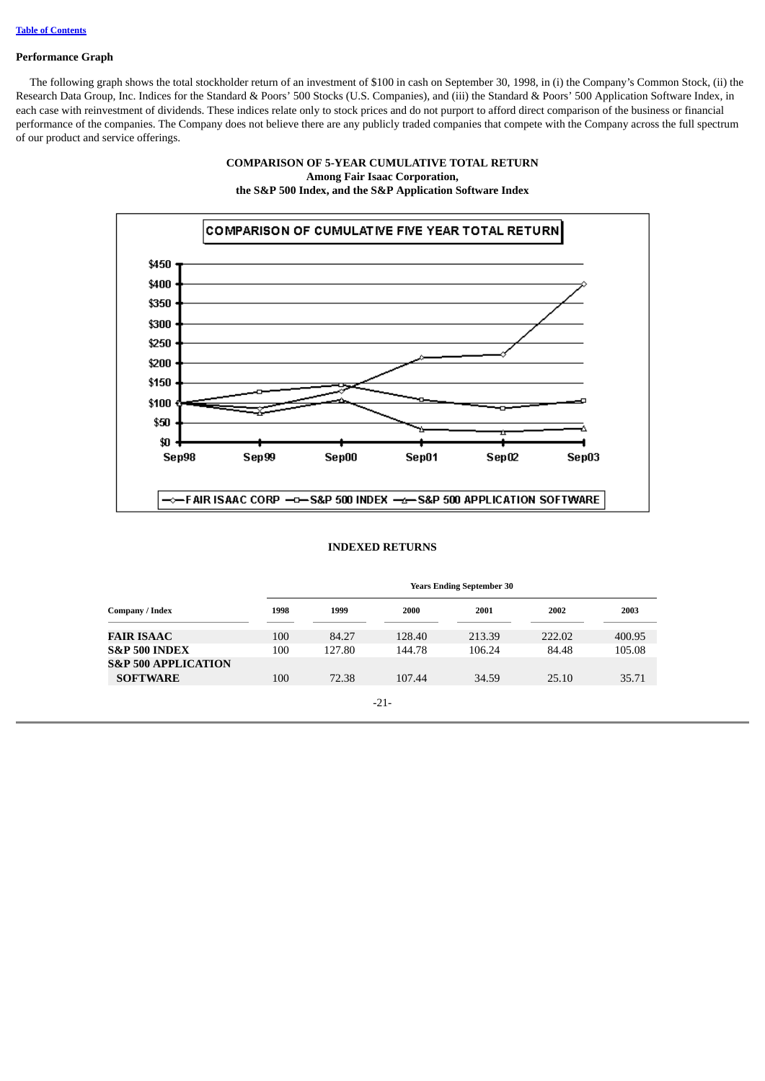#### **Performance Graph**

<span id="page-24-0"></span> The following graph shows the total stockholder return of an investment of \$100 in cash on September 30, 1998, in (i) the Company's Common Stock, (ii) the Research Data Group, Inc. Indices for the Standard & Poors' 500 Stocks (U.S. Companies), and (iii) the Standard & Poors' 500 Application Software Index, in each case with reinvestment of dividends. These indices relate only to stock prices and do not purport to afford direct comparison of the business or financial performance of the companies. The Company does not believe there are any publicly traded companies that compete with the Company across the full spectrum of our product and service offerings.

## **COMPARISON OF 5-YEAR CUMULATIVE TOTAL RETURN Among Fair Isaac Corporation, the S&P 500 Index, and the S&P Application Software Index**



#### **INDEXED RETURNS**

|                                |      | <b>Years Ending September 30</b> |        |        |        |        |
|--------------------------------|------|----------------------------------|--------|--------|--------|--------|
| Company / Index                | 1998 | 1999                             | 2000   | 2001   | 2002   | 2003   |
| FAIR ISAAC                     | 100  | 84.27                            | 128.40 | 213.39 | 222.02 | 400.95 |
| <b>S&amp;P 500 INDEX</b>       | 100  | 127.80                           | 144.78 | 106.24 | 84.48  | 105.08 |
| <b>S&amp;P 500 APPLICATION</b> |      |                                  |        |        |        |        |
| <b>SOFTWARE</b>                | 100  | 72.38                            | 107.44 | 34.59  | 25.10  | 35.71  |
|                                |      |                                  |        |        |        |        |

$$
-21-
$$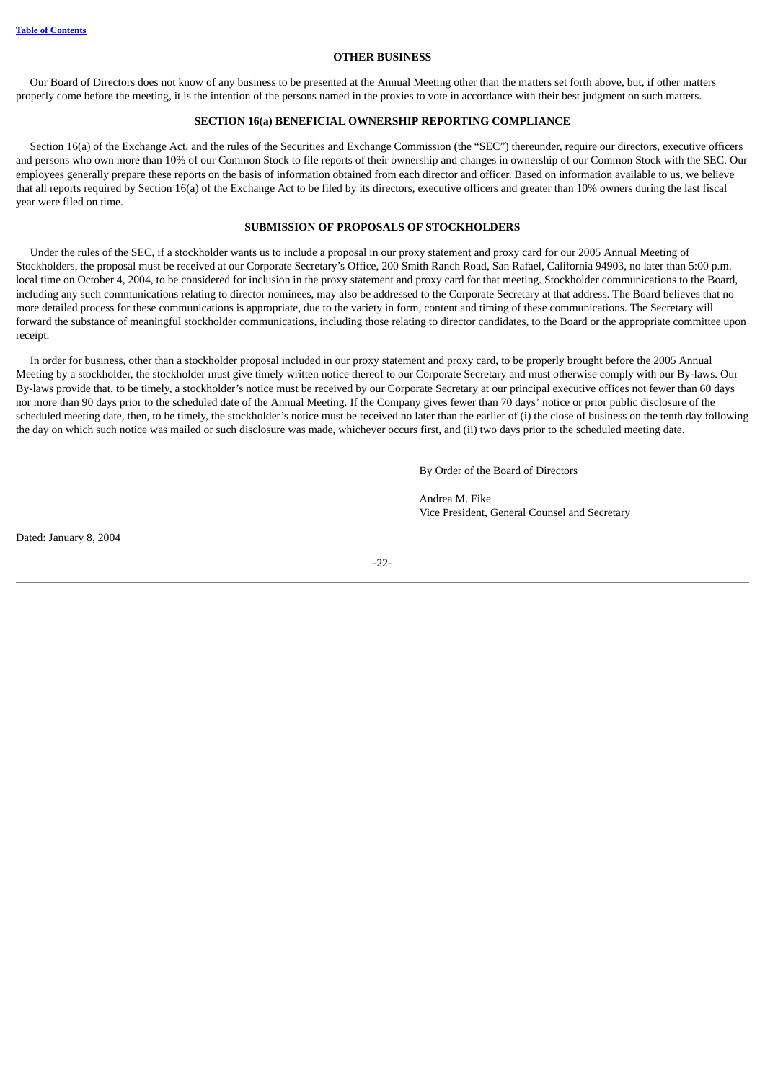#### **OTHER BUSINESS**

<span id="page-25-0"></span> Our Board of Directors does not know of any business to be presented at the Annual Meeting other than the matters set forth above, but, if other matters properly come before the meeting, it is the intention of the persons named in the proxies to vote in accordance with their best judgment on such matters.

## **SECTION 16(a) BENEFICIAL OWNERSHIP REPORTING COMPLIANCE**

<span id="page-25-1"></span> Section 16(a) of the Exchange Act, and the rules of the Securities and Exchange Commission (the "SEC") thereunder, require our directors, executive officers and persons who own more than 10% of our Common Stock to file reports of their ownership and changes in ownership of our Common Stock with the SEC. Our employees generally prepare these reports on the basis of information obtained from each director and officer. Based on information available to us, we believe that all reports required by Section 16(a) of the Exchange Act to be filed by its directors, executive officers and greater than 10% owners during the last fiscal year were filed on time.

#### **SUBMISSION OF PROPOSALS OF STOCKHOLDERS**

<span id="page-25-2"></span> Under the rules of the SEC, if a stockholder wants us to include a proposal in our proxy statement and proxy card for our 2005 Annual Meeting of Stockholders, the proposal must be received at our Corporate Secretary's Office, 200 Smith Ranch Road, San Rafael, California 94903, no later than 5:00 p.m. local time on October 4, 2004, to be considered for inclusion in the proxy statement and proxy card for that meeting. Stockholder communications to the Board, including any such communications relating to director nominees, may also be addressed to the Corporate Secretary at that address. The Board believes that no more detailed process for these communications is appropriate, due to the variety in form, content and timing of these communications. The Secretary will forward the substance of meaningful stockholder communications, including those relating to director candidates, to the Board or the appropriate committee upon receipt.

 In order for business, other than a stockholder proposal included in our proxy statement and proxy card, to be properly brought before the 2005 Annual Meeting by a stockholder, the stockholder must give timely written notice thereof to our Corporate Secretary and must otherwise comply with our By-laws. Our By-laws provide that, to be timely, a stockholder's notice must be received by our Corporate Secretary at our principal executive offices not fewer than 60 days nor more than 90 days prior to the scheduled date of the Annual Meeting. If the Company gives fewer than 70 days' notice or prior public disclosure of the scheduled meeting date, then, to be timely, the stockholder's notice must be received no later than the earlier of (i) the close of business on the tenth day following the day on which such notice was mailed or such disclosure was made, whichever occurs first, and (ii) two days prior to the scheduled meeting date.

By Order of the Board of Directors

Andrea M. Fike Vice President, General Counsel and Secretary

Dated: January 8, 2004

-22-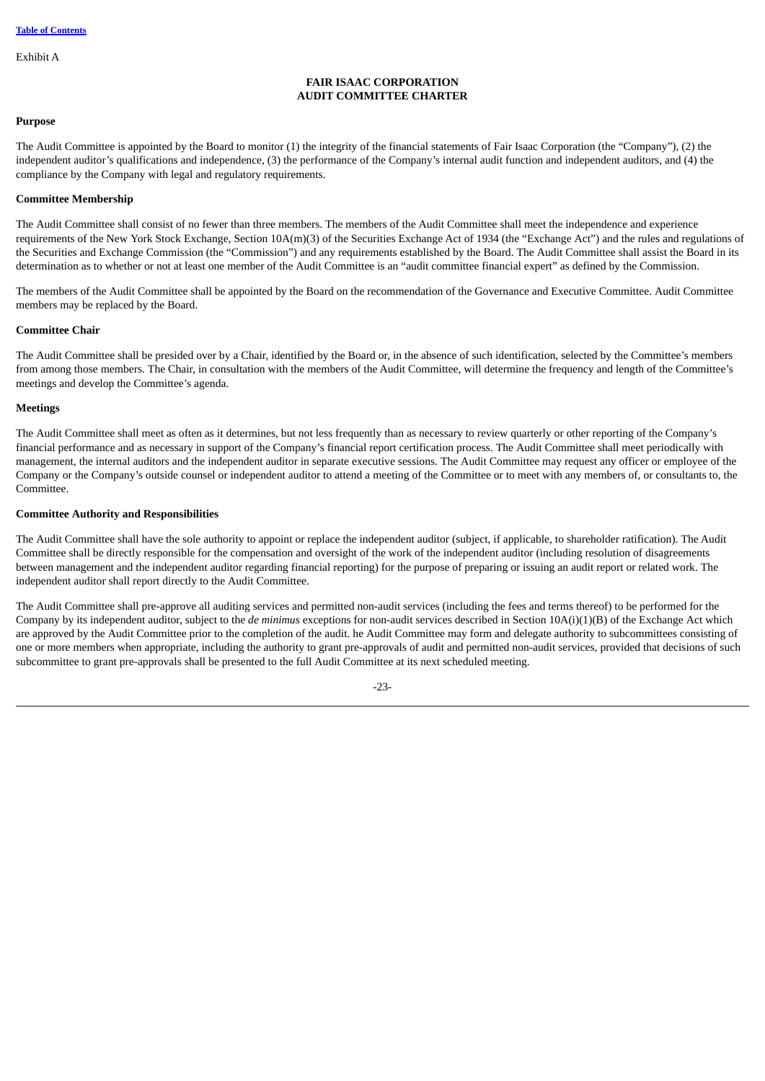Exhibit A

## **FAIR ISAAC CORPORATION AUDIT COMMITTEE CHARTER**

#### **Purpose**

The Audit Committee is appointed by the Board to monitor (1) the integrity of the financial statements of Fair Isaac Corporation (the "Company"), (2) the independent auditor's qualifications and independence, (3) the performance of the Company's internal audit function and independent auditors, and (4) the compliance by the Company with legal and regulatory requirements.

## **Committee Membership**

The Audit Committee shall consist of no fewer than three members. The members of the Audit Committee shall meet the independence and experience requirements of the New York Stock Exchange, Section 10A(m)(3) of the Securities Exchange Act of 1934 (the "Exchange Act") and the rules and regulations of the Securities and Exchange Commission (the "Commission") and any requirements established by the Board. The Audit Committee shall assist the Board in its determination as to whether or not at least one member of the Audit Committee is an "audit committee financial expert" as defined by the Commission.

The members of the Audit Committee shall be appointed by the Board on the recommendation of the Governance and Executive Committee. Audit Committee members may be replaced by the Board.

## **Committee Chair**

The Audit Committee shall be presided over by a Chair, identified by the Board or, in the absence of such identification, selected by the Committee's members from among those members. The Chair, in consultation with the members of the Audit Committee, will determine the frequency and length of the Committee's meetings and develop the Committee's agenda.

#### **Meetings**

The Audit Committee shall meet as often as it determines, but not less frequently than as necessary to review quarterly or other reporting of the Company's financial performance and as necessary in support of the Company's financial report certification process. The Audit Committee shall meet periodically with management, the internal auditors and the independent auditor in separate executive sessions. The Audit Committee may request any officer or employee of the Company or the Company's outside counsel or independent auditor to attend a meeting of the Committee or to meet with any members of, or consultants to, the Committee.

## **Committee Authority and Responsibilities**

The Audit Committee shall have the sole authority to appoint or replace the independent auditor (subject, if applicable, to shareholder ratification). The Audit Committee shall be directly responsible for the compensation and oversight of the work of the independent auditor (including resolution of disagreements between management and the independent auditor regarding financial reporting) for the purpose of preparing or issuing an audit report or related work. The independent auditor shall report directly to the Audit Committee.

The Audit Committee shall pre-approve all auditing services and permitted non-audit services (including the fees and terms thereof) to be performed for the Company by its independent auditor, subject to the *de minimus* exceptions for non-audit services described in Section 10A(i)(1)(B) of the Exchange Act which are approved by the Audit Committee prior to the completion of the audit. he Audit Committee may form and delegate authority to subcommittees consisting of one or more members when appropriate, including the authority to grant pre-approvals of audit and permitted non-audit services, provided that decisions of such subcommittee to grant pre-approvals shall be presented to the full Audit Committee at its next scheduled meeting.

 $-23$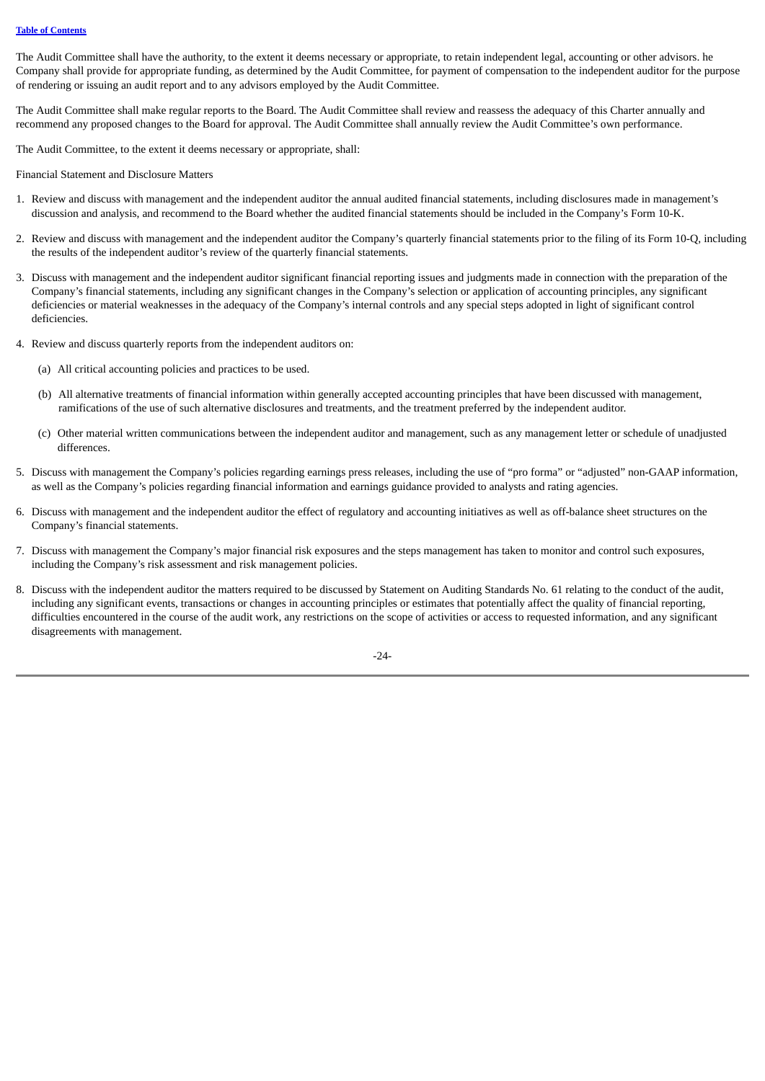The Audit Committee shall have the authority, to the extent it deems necessary or appropriate, to retain independent legal, accounting or other advisors. he Company shall provide for appropriate funding, as determined by the Audit Committee, for payment of compensation to the independent auditor for the purpose of rendering or issuing an audit report and to any advisors employed by the Audit Committee.

The Audit Committee shall make regular reports to the Board. The Audit Committee shall review and reassess the adequacy of this Charter annually and recommend any proposed changes to the Board for approval. The Audit Committee shall annually review the Audit Committee's own performance.

The Audit Committee, to the extent it deems necessary or appropriate, shall:

Financial Statement and Disclosure Matters

- 1. Review and discuss with management and the independent auditor the annual audited financial statements, including disclosures made in management's discussion and analysis, and recommend to the Board whether the audited financial statements should be included in the Company's Form 10-K.
- 2. Review and discuss with management and the independent auditor the Company's quarterly financial statements prior to the filing of its Form 10-Q, including the results of the independent auditor's review of the quarterly financial statements.
- 3. Discuss with management and the independent auditor significant financial reporting issues and judgments made in connection with the preparation of the Company's financial statements, including any significant changes in the Company's selection or application of accounting principles, any significant deficiencies or material weaknesses in the adequacy of the Company's internal controls and any special steps adopted in light of significant control deficiencies.
- 4. Review and discuss quarterly reports from the independent auditors on:
	- (a) All critical accounting policies and practices to be used.
	- (b) All alternative treatments of financial information within generally accepted accounting principles that have been discussed with management, ramifications of the use of such alternative disclosures and treatments, and the treatment preferred by the independent auditor.
	- (c) Other material written communications between the independent auditor and management, such as any management letter or schedule of unadjusted differences.
- 5. Discuss with management the Company's policies regarding earnings press releases, including the use of "pro forma" or "adjusted" non-GAAP information, as well as the Company's policies regarding financial information and earnings guidance provided to analysts and rating agencies.
- 6. Discuss with management and the independent auditor the effect of regulatory and accounting initiatives as well as off-balance sheet structures on the Company's financial statements.
- 7. Discuss with management the Company's major financial risk exposures and the steps management has taken to monitor and control such exposures, including the Company's risk assessment and risk management policies.
- 8. Discuss with the independent auditor the matters required to be discussed by Statement on Auditing Standards No. 61 relating to the conduct of the audit, including any significant events, transactions or changes in accounting principles or estimates that potentially affect the quality of financial reporting, difficulties encountered in the course of the audit work, any restrictions on the scope of activities or access to requested information, and any significant disagreements with management.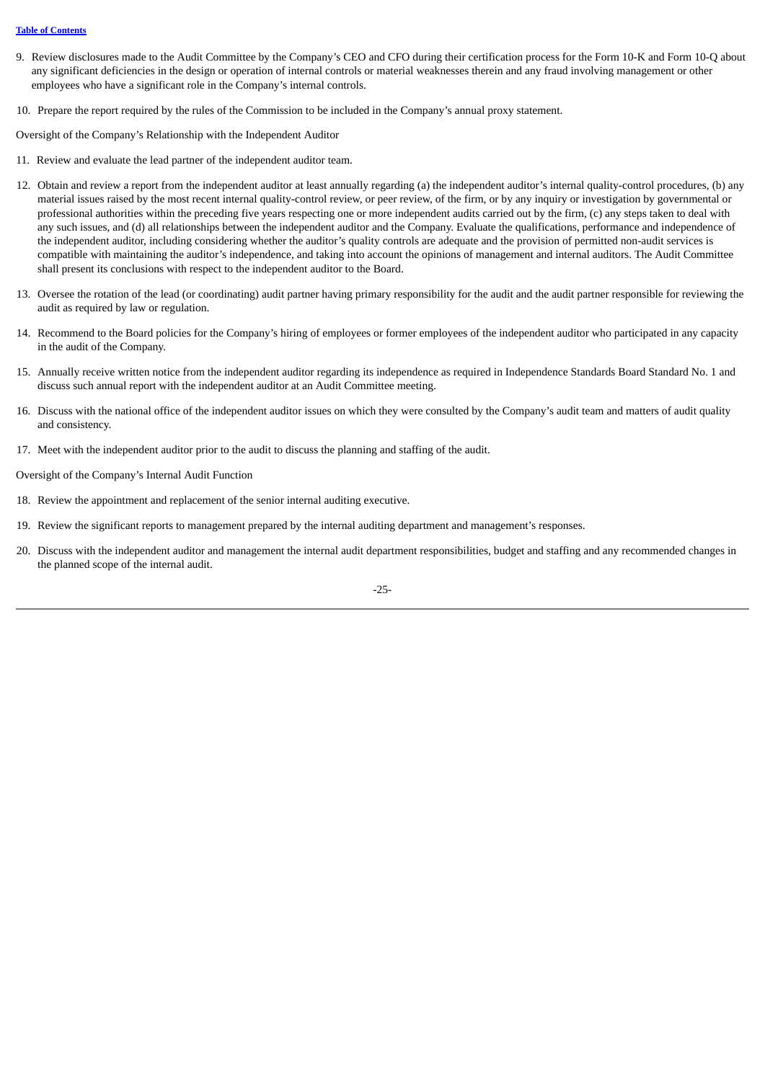#### **Table of [Contents](#page-4-0)**

- 9. Review disclosures made to the Audit Committee by the Company's CEO and CFO during their certification process for the Form 10-K and Form 10-Q about any significant deficiencies in the design or operation of internal controls or material weaknesses therein and any fraud involving management or other employees who have a significant role in the Company's internal controls.
- 10. Prepare the report required by the rules of the Commission to be included in the Company's annual proxy statement.

Oversight of the Company's Relationship with the Independent Auditor

- 11. Review and evaluate the lead partner of the independent auditor team.
- 12. Obtain and review a report from the independent auditor at least annually regarding (a) the independent auditor's internal quality-control procedures, (b) any material issues raised by the most recent internal quality-control review, or peer review, of the firm, or by any inquiry or investigation by governmental or professional authorities within the preceding five years respecting one or more independent audits carried out by the firm, (c) any steps taken to deal with any such issues, and (d) all relationships between the independent auditor and the Company. Evaluate the qualifications, performance and independence of the independent auditor, including considering whether the auditor's quality controls are adequate and the provision of permitted non-audit services is compatible with maintaining the auditor's independence, and taking into account the opinions of management and internal auditors. The Audit Committee shall present its conclusions with respect to the independent auditor to the Board.
- 13. Oversee the rotation of the lead (or coordinating) audit partner having primary responsibility for the audit and the audit partner responsible for reviewing the audit as required by law or regulation.
- 14. Recommend to the Board policies for the Company's hiring of employees or former employees of the independent auditor who participated in any capacity in the audit of the Company.
- 15. Annually receive written notice from the independent auditor regarding its independence as required in Independence Standards Board Standard No. 1 and discuss such annual report with the independent auditor at an Audit Committee meeting.
- 16. Discuss with the national office of the independent auditor issues on which they were consulted by the Company's audit team and matters of audit quality and consistency.
- 17. Meet with the independent auditor prior to the audit to discuss the planning and staffing of the audit.

Oversight of the Company's Internal Audit Function

- 18. Review the appointment and replacement of the senior internal auditing executive.
- 19. Review the significant reports to management prepared by the internal auditing department and management's responses.
- 20. Discuss with the independent auditor and management the internal audit department responsibilities, budget and staffing and any recommended changes in the planned scope of the internal audit.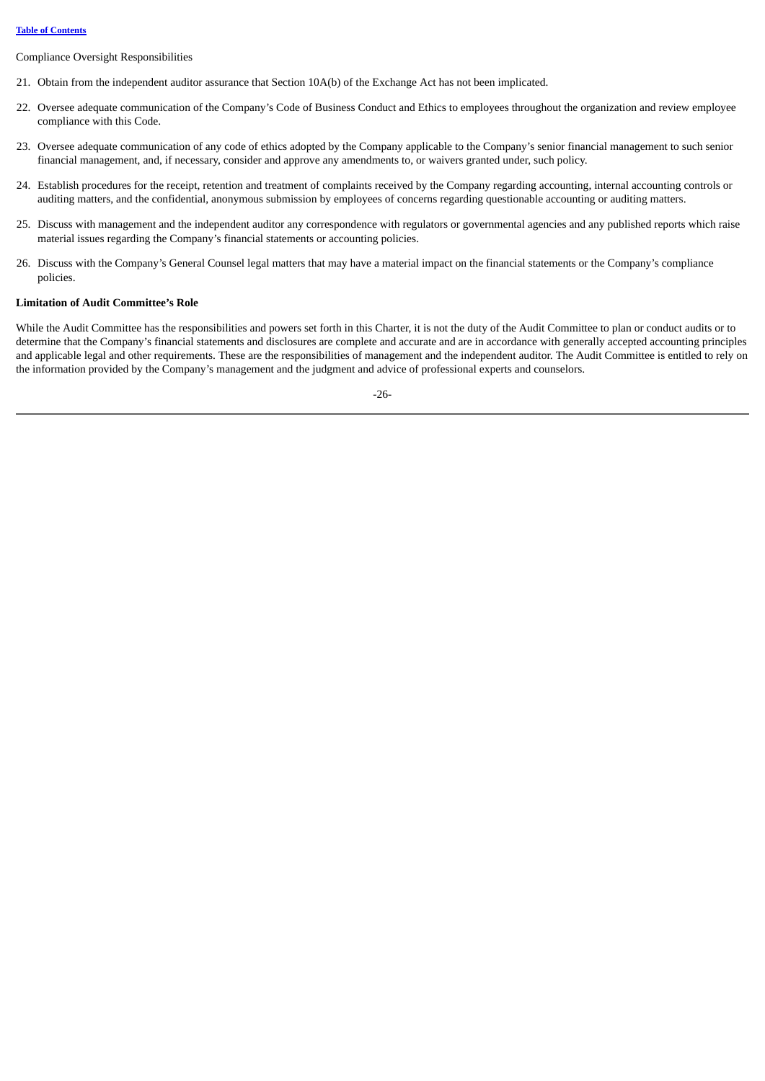Compliance Oversight Responsibilities

- 21. Obtain from the independent auditor assurance that Section 10A(b) of the Exchange Act has not been implicated.
- 22. Oversee adequate communication of the Company's Code of Business Conduct and Ethics to employees throughout the organization and review employee compliance with this Code.
- 23. Oversee adequate communication of any code of ethics adopted by the Company applicable to the Company's senior financial management to such senior financial management, and, if necessary, consider and approve any amendments to, or waivers granted under, such policy.
- 24. Establish procedures for the receipt, retention and treatment of complaints received by the Company regarding accounting, internal accounting controls or auditing matters, and the confidential, anonymous submission by employees of concerns regarding questionable accounting or auditing matters.
- 25. Discuss with management and the independent auditor any correspondence with regulators or governmental agencies and any published reports which raise material issues regarding the Company's financial statements or accounting policies.
- 26. Discuss with the Company's General Counsel legal matters that may have a material impact on the financial statements or the Company's compliance policies.

## **Limitation of Audit Committee's Role**

While the Audit Committee has the responsibilities and powers set forth in this Charter, it is not the duty of the Audit Committee to plan or conduct audits or to determine that the Company's financial statements and disclosures are complete and accurate and are in accordance with generally accepted accounting principles and applicable legal and other requirements. These are the responsibilities of management and the independent auditor. The Audit Committee is entitled to rely on the information provided by the Company's management and the judgment and advice of professional experts and counselors.

-26-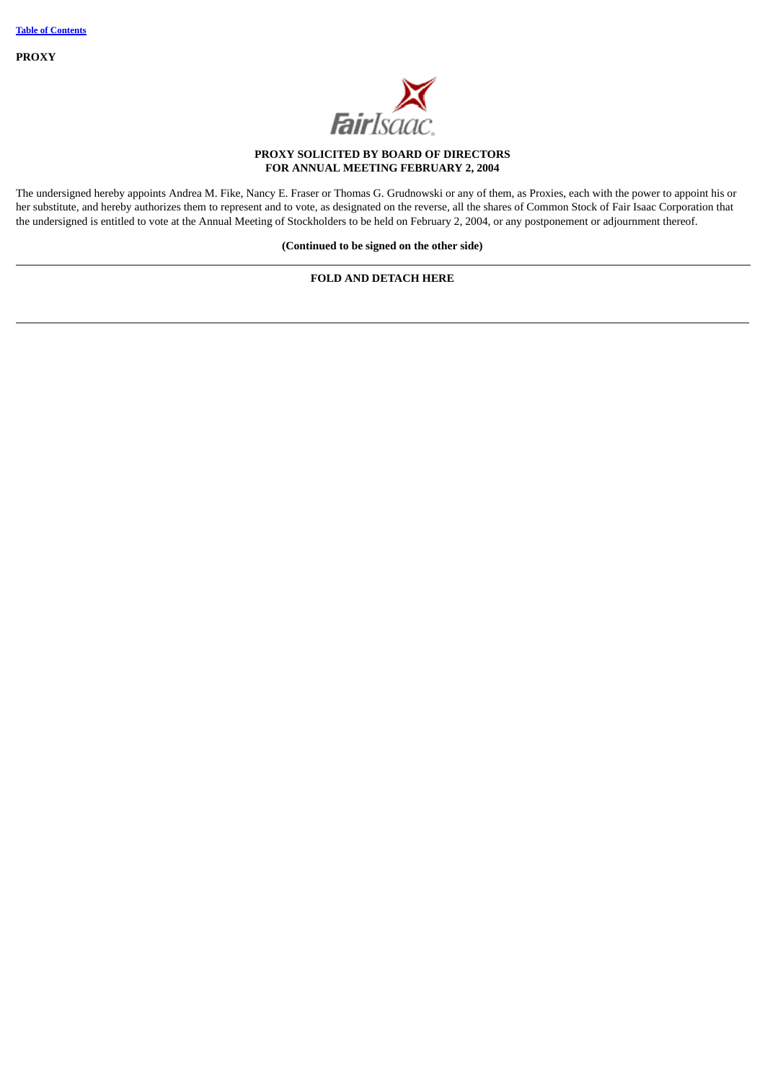**PROXY**



# **PROXY SOLICITED BY BOARD OF DIRECTORS FOR ANNUAL MEETING FEBRUARY 2, 2004**

The undersigned hereby appoints Andrea M. Fike, Nancy E. Fraser or Thomas G. Grudnowski or any of them, as Proxies, each with the power to appoint his or her substitute, and hereby authorizes them to represent and to vote, as designated on the reverse, all the shares of Common Stock of Fair Isaac Corporation that the undersigned is entitled to vote at the Annual Meeting of Stockholders to be held on February 2, 2004, or any postponement or adjournment thereof.

**(Continued to be signed on the other side)**

# **FOLD AND DETACH HERE**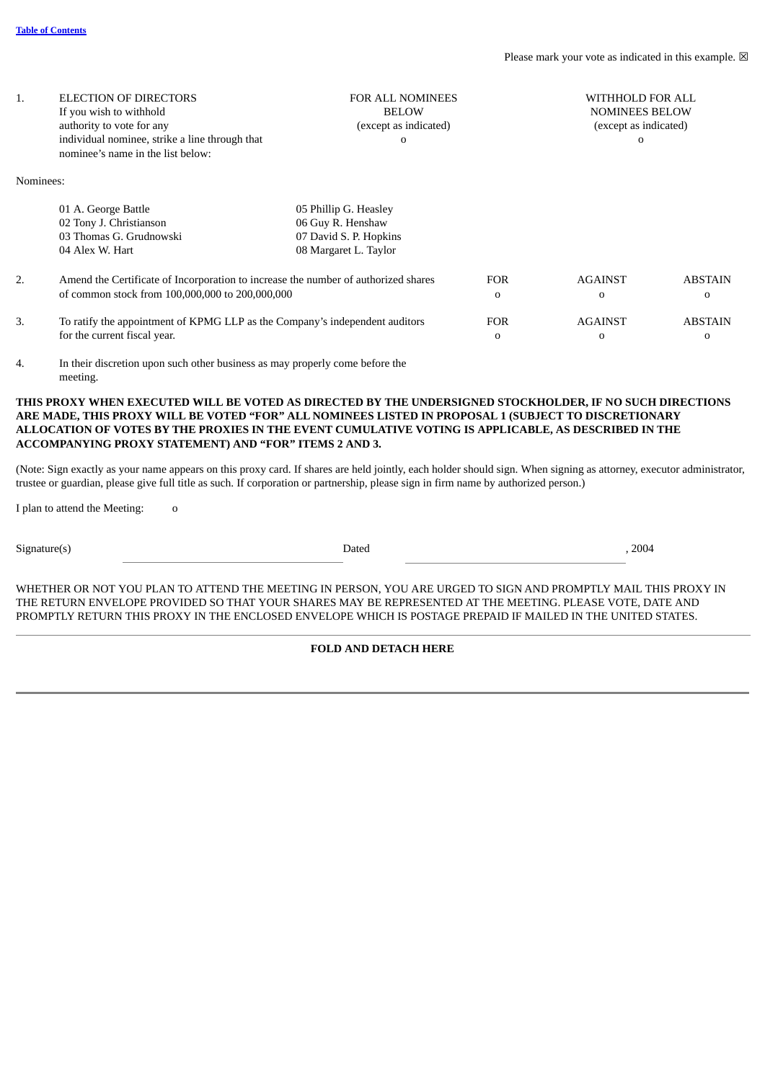| 1.        | <b>ELECTION OF DIRECTORS</b><br>If you wish to withhold<br>authority to vote for any<br>individual nominee, strike a line through that<br>nominee's name in the list below: | <b>FOR ALL NOMINEES</b><br><b>BELOW</b><br>(except as indicated)<br>$\mathbf{o}$              | WITHHOLD FOR ALL<br><b>NOMINEES BELOW</b><br>(except as indicated)<br>$\Omega$ |                     |                            |
|-----------|-----------------------------------------------------------------------------------------------------------------------------------------------------------------------------|-----------------------------------------------------------------------------------------------|--------------------------------------------------------------------------------|---------------------|----------------------------|
| Nominees: |                                                                                                                                                                             |                                                                                               |                                                                                |                     |                            |
|           | 01 A. George Battle<br>02 Tony J. Christianson<br>03 Thomas G. Grudnowski<br>04 Alex W. Hart                                                                                | 05 Phillip G. Heasley<br>06 Guy R. Henshaw<br>07 David S. P. Hopkins<br>08 Margaret L. Taylor |                                                                                |                     |                            |
| 2.        | Amend the Certificate of Incorporation to increase the number of authorized shares<br>of common stock from 100,000,000 to 200,000,000                                       | <b>FOR</b><br>0                                                                               | <b>AGAINST</b><br>$\Omega$                                                     | <b>ABSTAIN</b><br>0 |                            |
| 3.        | To ratify the appointment of KPMG LLP as the Company's independent auditors<br>for the current fiscal year.                                                                 |                                                                                               | <b>FOR</b><br>0                                                                | <b>AGAINST</b><br>0 | <b>ABSTAIN</b><br>$\Omega$ |

4. In their discretion upon such other business as may properly come before the meeting.

**THIS PROXY WHEN EXECUTED WILL BE VOTED AS DIRECTED BY THE UNDERSIGNED STOCKHOLDER, IF NO SUCH DIRECTIONS ARE MADE, THIS PROXY WILL BE VOTED "FOR" ALL NOMINEES LISTED IN PROPOSAL 1 (SUBJECT TO DISCRETIONARY ALLOCATION OF VOTES BY THE PROXIES IN THE EVENT CUMULATIVE VOTING IS APPLICABLE, AS DESCRIBED IN THE ACCOMPANYING PROXY STATEMENT) AND "FOR" ITEMS 2 AND 3.**

(Note: Sign exactly as your name appears on this proxy card. If shares are held jointly, each holder should sign. When signing as attorney, executor administrator, trustee or guardian, please give full title as such. If corporation or partnership, please sign in firm name by authorized person.)

I plan to attend the Meeting: o

Signature(s) and the set of the set of the set of the Dated Controllers and the set of the set of the set of the set of the set of the set of the set of the set of the set of the set of the set of the set of the set of the

WHETHER OR NOT YOU PLAN TO ATTEND THE MEETING IN PERSON, YOU ARE URGED TO SIGN AND PROMPTLY MAIL THIS PROXY IN THE RETURN ENVELOPE PROVIDED SO THAT YOUR SHARES MAY BE REPRESENTED AT THE MEETING. PLEASE VOTE, DATE AND PROMPTLY RETURN THIS PROXY IN THE ENCLOSED ENVELOPE WHICH IS POSTAGE PREPAID IF MAILED IN THE UNITED STATES.

**FOLD AND DETACH HERE**